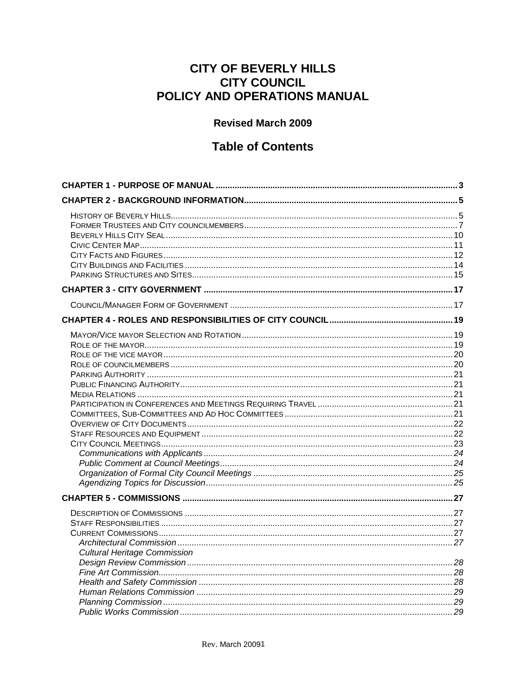# **CITY OF BEVERLY HILLS CITY COUNCIL** POLICY AND OPERATIONS MANUAL

## **Revised March 2009**

# **Table of Contents**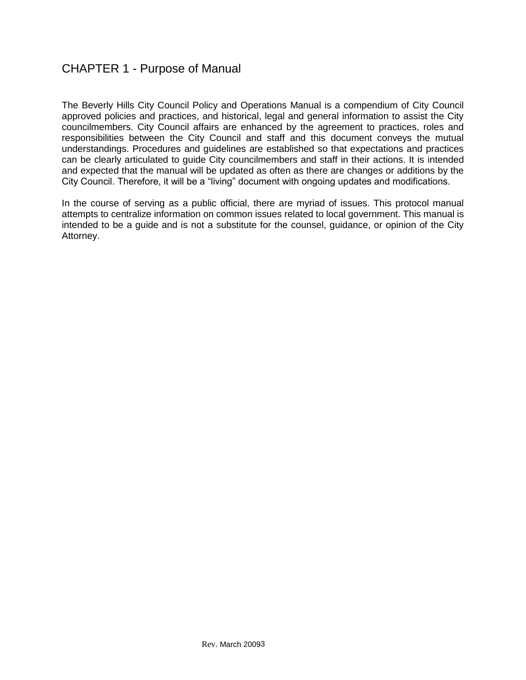# <span id="page-2-0"></span>CHAPTER 1 - Purpose of Manual

The Beverly Hills City Council Policy and Operations Manual is a compendium of City Council approved policies and practices, and historical, legal and general information to assist the City councilmembers. City Council affairs are enhanced by the agreement to practices, roles and responsibilities between the City Council and staff and this document conveys the mutual understandings. Procedures and guidelines are established so that expectations and practices can be clearly articulated to guide City councilmembers and staff in their actions. It is intended and expected that the manual will be updated as often as there are changes or additions by the City Council. Therefore, it will be a "living" document with ongoing updates and modifications.

In the course of serving as a public official, there are myriad of issues. This protocol manual attempts to centralize information on common issues related to local government. This manual is intended to be a guide and is not a substitute for the counsel, guidance, or opinion of the City Attorney.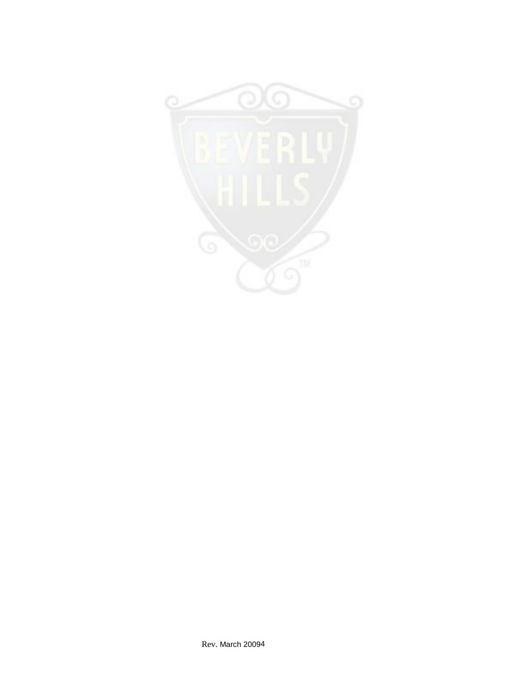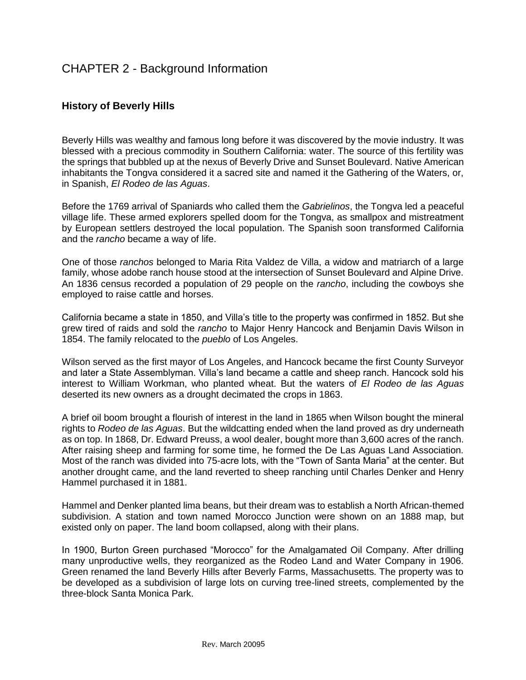# <span id="page-4-0"></span>CHAPTER 2 - Background Information

## <span id="page-4-1"></span>**History of Beverly Hills**

Beverly Hills was wealthy and famous long before it was discovered by the movie industry. It was blessed with a precious commodity in Southern California: water. The source of this fertility was the springs that bubbled up at the nexus of Beverly Drive and Sunset Boulevard. Native American inhabitants the Tongva considered it a sacred site and named it the Gathering of the Waters, or, in Spanish, *El Rodeo de las Aguas*.

Before the 1769 arrival of Spaniards who called them the *Gabrielinos*, the Tongva led a peaceful village life. These armed explorers spelled doom for the Tongva, as smallpox and mistreatment by European settlers destroyed the local population. The Spanish soon transformed California and the *rancho* became a way of life.

One of those *ranchos* belonged to Maria Rita Valdez de Villa, a widow and matriarch of a large family, whose adobe ranch house stood at the intersection of Sunset Boulevard and Alpine Drive. An 1836 census recorded a population of 29 people on the *rancho*, including the cowboys she employed to raise cattle and horses.

California became a state in 1850, and Villa's title to the property was confirmed in 1852. But she grew tired of raids and sold the *rancho* to Major Henry Hancock and Benjamin Davis Wilson in 1854. The family relocated to the *pueblo* of Los Angeles.

Wilson served as the first mayor of Los Angeles, and Hancock became the first County Surveyor and later a State Assemblyman. Villa's land became a cattle and sheep ranch. Hancock sold his interest to William Workman, who planted wheat. But the waters of *El Rodeo de las Aguas* deserted its new owners as a drought decimated the crops in 1863.

A brief oil boom brought a flourish of interest in the land in 1865 when Wilson bought the mineral rights to *Rodeo de las Aguas*. But the wildcatting ended when the land proved as dry underneath as on top. In 1868, Dr. Edward Preuss, a wool dealer, bought more than 3,600 acres of the ranch. After raising sheep and farming for some time, he formed the De Las Aguas Land Association. Most of the ranch was divided into 75-acre lots, with the "Town of Santa Maria" at the center. But another drought came, and the land reverted to sheep ranching until Charles Denker and Henry Hammel purchased it in 1881.

Hammel and Denker planted lima beans, but their dream was to establish a North African-themed subdivision. A station and town named Morocco Junction were shown on an 1888 map, but existed only on paper. The land boom collapsed, along with their plans.

In 1900, Burton Green purchased "Morocco" for the Amalgamated Oil Company. After drilling many unproductive wells, they reorganized as the Rodeo Land and Water Company in 1906. Green renamed the land Beverly Hills after Beverly Farms, Massachusetts. The property was to be developed as a subdivision of large lots on curving tree-lined streets, complemented by the three-block Santa Monica Park.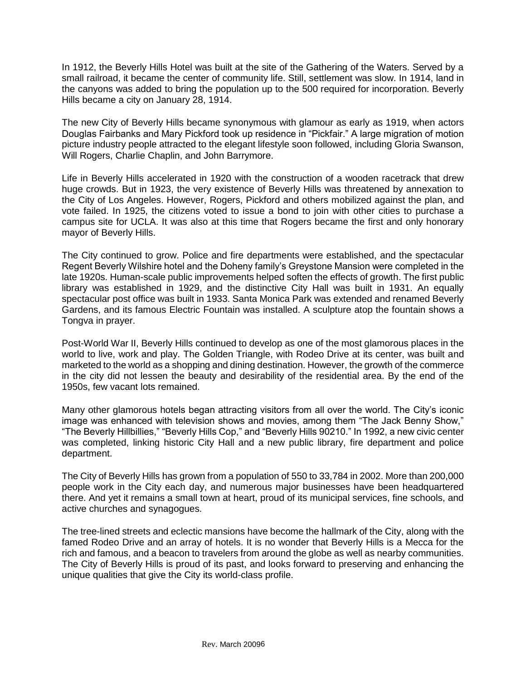In 1912, the Beverly Hills Hotel was built at the site of the Gathering of the Waters. Served by a small railroad, it became the center of community life. Still, settlement was slow. In 1914, land in the canyons was added to bring the population up to the 500 required for incorporation. Beverly Hills became a city on January 28, 1914.

The new City of Beverly Hills became synonymous with glamour as early as 1919, when actors Douglas Fairbanks and Mary Pickford took up residence in "Pickfair." A large migration of motion picture industry people attracted to the elegant lifestyle soon followed, including Gloria Swanson, Will Rogers, Charlie Chaplin, and John Barrymore.

Life in Beverly Hills accelerated in 1920 with the construction of a wooden racetrack that drew huge crowds. But in 1923, the very existence of Beverly Hills was threatened by annexation to the City of Los Angeles. However, Rogers, Pickford and others mobilized against the plan, and vote failed. In 1925, the citizens voted to issue a bond to join with other cities to purchase a campus site for UCLA. It was also at this time that Rogers became the first and only honorary mayor of Beverly Hills.

The City continued to grow. Police and fire departments were established, and the spectacular Regent Beverly Wilshire hotel and the Doheny family's Greystone Mansion were completed in the late 1920s. Human-scale public improvements helped soften the effects of growth. The first public library was established in 1929, and the distinctive City Hall was built in 1931. An equally spectacular post office was built in 1933. Santa Monica Park was extended and renamed Beverly Gardens, and its famous Electric Fountain was installed. A sculpture atop the fountain shows a Tongva in prayer.

Post-World War II, Beverly Hills continued to develop as one of the most glamorous places in the world to live, work and play. The Golden Triangle, with Rodeo Drive at its center, was built and marketed to the world as a shopping and dining destination. However, the growth of the commerce in the city did not lessen the beauty and desirability of the residential area. By the end of the 1950s, few vacant lots remained.

Many other glamorous hotels began attracting visitors from all over the world. The City's iconic image was enhanced with television shows and movies, among them "The Jack Benny Show," "The Beverly Hillbillies," "Beverly Hills Cop," and "Beverly Hills 90210." In 1992, a new civic center was completed, linking historic City Hall and a new public library, fire department and police department.

The City of Beverly Hills has grown from a population of 550 to 33,784 in 2002. More than 200,000 people work in the City each day, and numerous major businesses have been headquartered there. And yet it remains a small town at heart, proud of its municipal services, fine schools, and active churches and synagogues.

The tree-lined streets and eclectic mansions have become the hallmark of the City, along with the famed Rodeo Drive and an array of hotels. It is no wonder that Beverly Hills is a Mecca for the rich and famous, and a beacon to travelers from around the globe as well as nearby communities. The City of Beverly Hills is proud of its past, and looks forward to preserving and enhancing the unique qualities that give the City its world-class profile.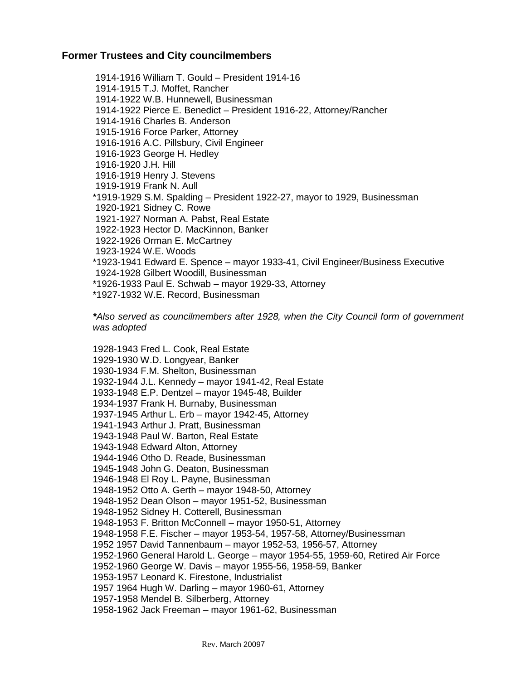## <span id="page-6-0"></span>**Former Trustees and City councilmembers**

1914-1916 William T. Gould – President 1914-16 1914-1915 T.J. Moffet, Rancher 1914-1922 W.B. Hunnewell, Businessman 1914-1922 Pierce E. Benedict – President 1916-22, Attorney/Rancher 1914-1916 Charles B. Anderson 1915-1916 Force Parker, Attorney 1916-1916 A.C. Pillsbury, Civil Engineer 1916-1923 George H. Hedley 1916-1920 J.H. Hill 1916-1919 Henry J. Stevens 1919-1919 Frank N. Aull \*1919-1929 S.M. Spalding – President 1922-27, mayor to 1929, Businessman 1920-1921 Sidney C. Rowe 1921-1927 Norman A. Pabst, Real Estate 1922-1923 Hector D. MacKinnon, Banker 1922-1926 Orman E. McCartney 1923-1924 W.E. Woods \*1923-1941 Edward E. Spence – mayor 1933-41, Civil Engineer/Business Executive 1924-1928 Gilbert Woodill, Businessman \*1926-1933 Paul E. Schwab – mayor 1929-33, Attorney

\*1927-1932 W.E. Record, Businessman

*\*Also served as councilmembers after 1928, when the City Council form of government was adopted*

1928-1943 Fred L. Cook, Real Estate 1929-1930 W.D. Longyear, Banker 1930-1934 F.M. Shelton, Businessman 1932-1944 J.L. Kennedy – mayor 1941-42, Real Estate 1933-1948 E.P. Dentzel – mayor 1945-48, Builder 1934-1937 Frank H. Burnaby, Businessman 1937-1945 Arthur L. Erb – mayor 1942-45, Attorney 1941-1943 Arthur J. Pratt, Businessman 1943-1948 Paul W. Barton, Real Estate 1943-1948 Edward Alton, Attorney 1944-1946 Otho D. Reade, Businessman 1945-1948 John G. Deaton, Businessman 1946-1948 El Roy L. Payne, Businessman 1948-1952 Otto A. Gerth – mayor 1948-50, Attorney 1948-1952 Dean Olson – mayor 1951-52, Businessman 1948-1952 Sidney H. Cotterell, Businessman 1948-1953 F. Britton McConnell – mayor 1950-51, Attorney 1948-1958 F.E. Fischer – mayor 1953-54, 1957-58, Attorney/Businessman 1952 1957 David Tannenbaum – mayor 1952-53, 1956-57, Attorney 1952-1960 General Harold L. George – mayor 1954-55, 1959-60, Retired Air Force 1952-1960 George W. Davis – mayor 1955-56, 1958-59, Banker 1953-1957 Leonard K. Firestone, Industrialist 1957 1964 Hugh W. Darling – mayor 1960-61, Attorney 1957-1958 Mendel B. Silberberg, Attorney 1958-1962 Jack Freeman – mayor 1961-62, Businessman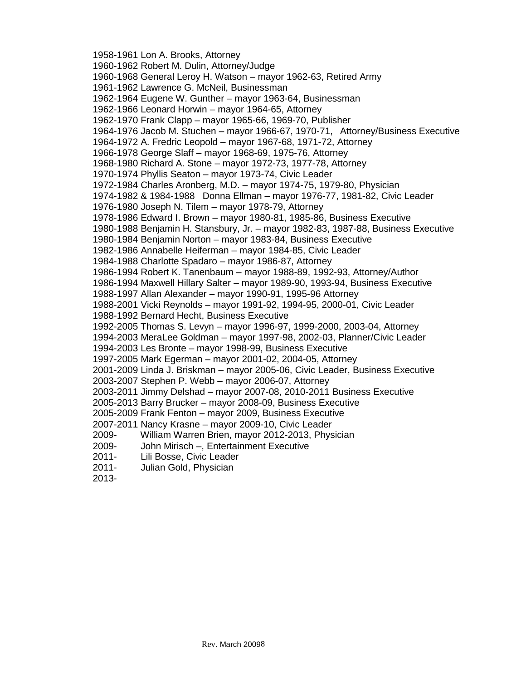1958-1961 Lon A. Brooks, Attorney 1960-1962 Robert M. Dulin, Attorney/Judge 1960-1968 General Leroy H. Watson – mayor 1962-63, Retired Army 1961-1962 Lawrence G. McNeil, Businessman 1962-1964 Eugene W. Gunther – mayor 1963-64, Businessman 1962-1966 Leonard Horwin – mayor 1964-65, Attorney 1962-1970 Frank Clapp – mayor 1965-66, 1969-70, Publisher 1964-1976 Jacob M. Stuchen – mayor 1966-67, 1970-71, Attorney/Business Executive 1964-1972 A. Fredric Leopold – mayor 1967-68, 1971-72, Attorney 1966-1978 George Slaff – mayor 1968-69, 1975-76, Attorney 1968-1980 Richard A. Stone – mayor 1972-73, 1977-78, Attorney 1970-1974 Phyllis Seaton – mayor 1973-74, Civic Leader 1972-1984 Charles Aronberg, M.D. – mayor 1974-75, 1979-80, Physician 1974-1982 & 1984-1988 Donna Ellman – mayor 1976-77, 1981-82, Civic Leader 1976-1980 Joseph N. Tilem – mayor 1978-79, Attorney 1978-1986 Edward I. Brown – mayor 1980-81, 1985-86, Business Executive 1980-1988 Benjamin H. Stansbury, Jr. – mayor 1982-83, 1987-88, Business Executive 1980-1984 Benjamin Norton – mayor 1983-84, Business Executive 1982-1986 Annabelle Heiferman – mayor 1984-85, Civic Leader 1984-1988 Charlotte Spadaro – mayor 1986-87, Attorney 1986-1994 Robert K. Tanenbaum – mayor 1988-89, 1992-93, Attorney/Author 1986-1994 Maxwell Hillary Salter – mayor 1989-90, 1993-94, Business Executive 1988-1997 Allan Alexander – mayor 1990-91, 1995-96 Attorney 1988-2001 Vicki Reynolds – mayor 1991-92, 1994-95, 2000-01, Civic Leader 1988-1992 Bernard Hecht, Business Executive 1992-2005 Thomas S. Levyn – mayor 1996-97, 1999-2000, 2003-04, Attorney 1994-2003 MeraLee Goldman – mayor 1997-98, 2002-03, Planner/Civic Leader 1994-2003 Les Bronte – mayor 1998-99, Business Executive 1997-2005 Mark Egerman – mayor 2001-02, 2004-05, Attorney 2001-2009 Linda J. Briskman – mayor 2005-06, Civic Leader, Business Executive 2003-2007 Stephen P. Webb – mayor 2006-07, Attorney 2003-2011 Jimmy Delshad – mayor 2007-08, 2010-2011 Business Executive 2005-2013 Barry Brucker – mayor 2008-09, Business Executive 2005-2009 Frank Fenton – mayor 2009, Business Executive 2007-2011 Nancy Krasne – mayor 2009-10, Civic Leader 2009- William Warren Brien, mayor 2012-2013, Physician 2009- John Mirisch –, Entertainment Executive 2011- Lili Bosse, Civic Leader 2011- Julian Gold, Physician 2013-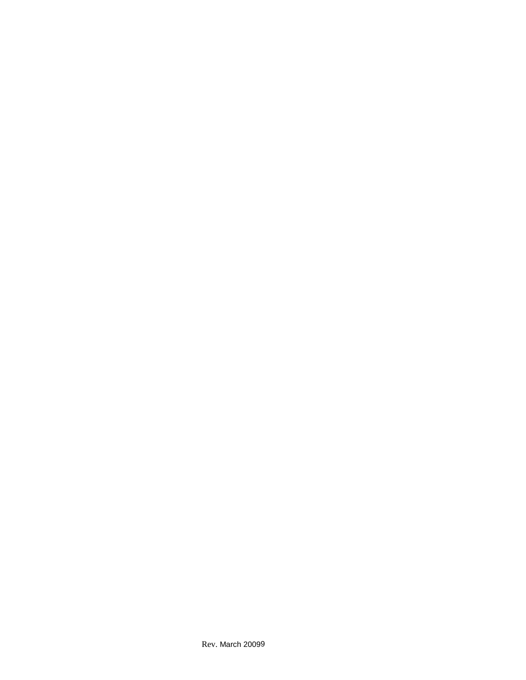Rev. March 20099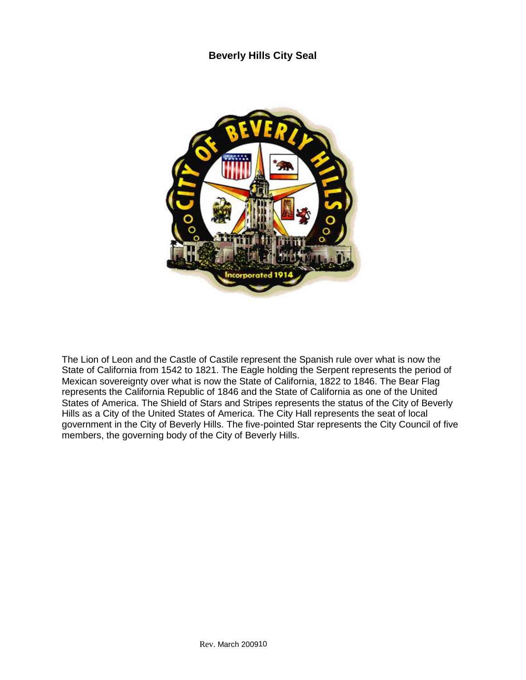## **Beverly Hills City Seal**

<span id="page-9-0"></span>

The Lion of Leon and the Castle of Castile represent the Spanish rule over what is now the State of California from 1542 to 1821. The Eagle holding the Serpent represents the period of Mexican sovereignty over what is now the State of California, 1822 to 1846. The Bear Flag represents the California Republic of 1846 and the State of California as one of the United States of America. The Shield of Stars and Stripes represents the status of the City of Beverly Hills as a City of the United States of America. The City Hall represents the seat of local government in the City of Beverly Hills. The five-pointed Star represents the City Council of five members, the governing body of the City of Beverly Hills.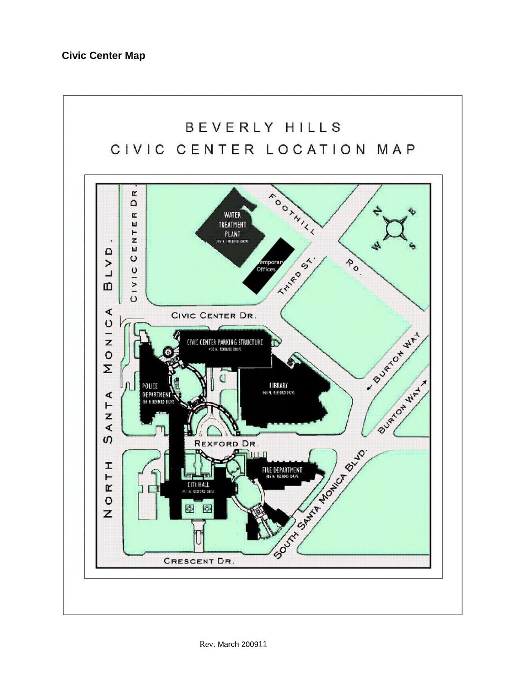<span id="page-10-0"></span>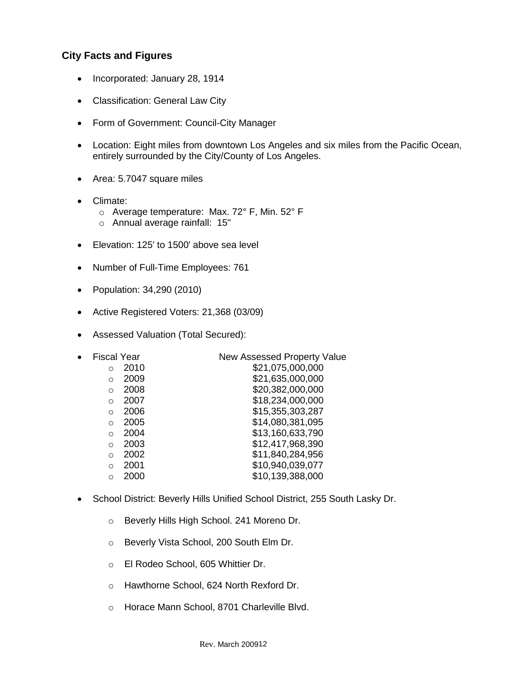## <span id="page-11-0"></span>**City Facts and Figures**

- Incorporated: January 28, 1914
- Classification: General Law City
- Form of Government: Council-City Manager
- Location: Eight miles from downtown Los Angeles and six miles from the Pacific Ocean, entirely surrounded by the City/County of Los Angeles.
- Area: 5.7047 square miles
- Climate:
	- o Average temperature: Max. 72° F, Min. 52° F
	- o Annual average rainfall: 15"
- Elevation: 125' to 1500' above sea level
- Number of Full-Time Employees: 761
- Population: 34,290 (2010)
- Active Registered Voters: 21,368 (03/09)
- Assessed Valuation (Total Secured):

| Fiscal Year<br>$\bullet$ | New Assessed Property Value |
|--------------------------|-----------------------------|
| 2010<br>∩                | \$21,075,000,000            |
| 2009<br>Ω                | \$21,635,000,000            |
| 2008<br>∩                | \$20,382,000,000            |
| 2007<br>∩                | \$18,234,000,000            |
| 2006<br>∩                | \$15,355,303,287            |
| 2005<br>∩                | \$14,080,381,095            |
| 2004<br>∩                | \$13,160,633,790            |
| 2003<br>∩                | \$12,417,968,390            |
| 2002<br>∩                | \$11,840,284,956            |
| 2001<br>∩                | \$10,940,039,077            |
| 2000                     | \$10,139,388,000            |
|                          |                             |

- School District: Beverly Hills Unified School District, 255 South Lasky Dr.
	- o Beverly Hills High School. 241 Moreno Dr.
	- o Beverly Vista School, 200 South Elm Dr.
	- o El Rodeo School, 605 Whittier Dr.
	- o Hawthorne School, 624 North Rexford Dr.
	- o Horace Mann School, 8701 Charleville Blvd.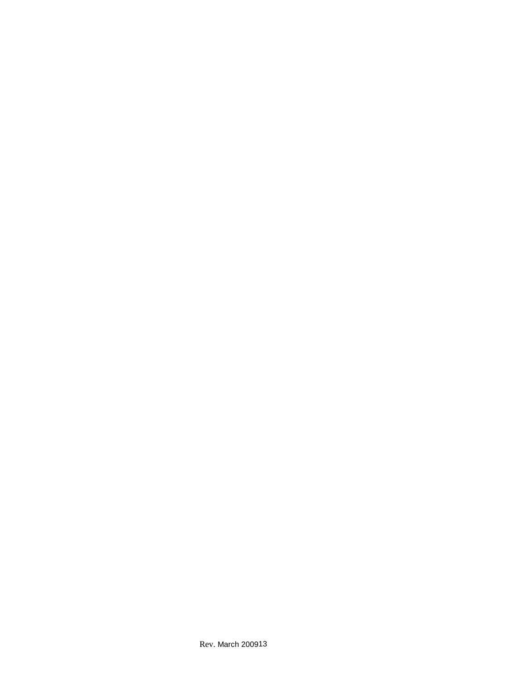Rev. March 200913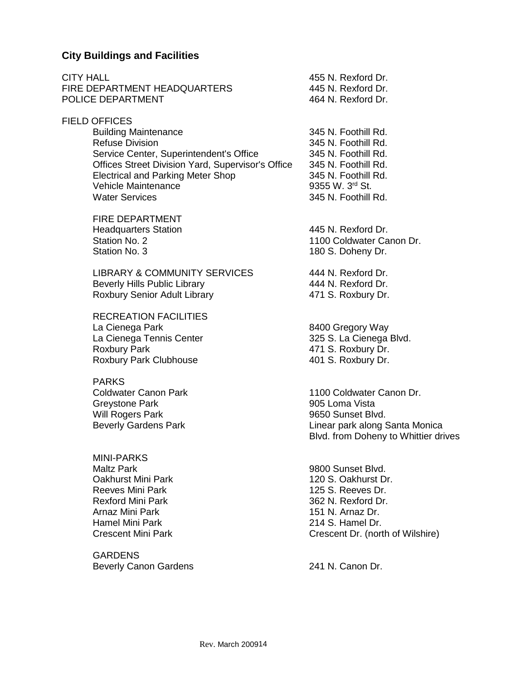## **City Buildings and Facilities**

<span id="page-13-0"></span>

| <b>City Buildings and Facilities</b>                                                                                                                                                                                                                                      |                                                                                                                                                           |  |  |  |
|---------------------------------------------------------------------------------------------------------------------------------------------------------------------------------------------------------------------------------------------------------------------------|-----------------------------------------------------------------------------------------------------------------------------------------------------------|--|--|--|
| <b>CITY HALL</b><br>FIRE DEPARTMENT HEADQUARTERS<br>POLICE DEPARTMENT                                                                                                                                                                                                     | 455 N. Rexford Dr.<br>445 N. Rexford Dr.<br>464 N. Rexford Dr.                                                                                            |  |  |  |
| <b>FIELD OFFICES</b><br><b>Building Maintenance</b><br><b>Refuse Division</b><br>Service Center, Superintendent's Office<br>Offices Street Division Yard, Supervisor's Office<br><b>Electrical and Parking Meter Shop</b><br>Vehicle Maintenance<br><b>Water Services</b> | 345 N. Foothill Rd.<br>345 N. Foothill Rd.<br>345 N. Foothill Rd.<br>345 N. Foothill Rd.<br>345 N. Foothill Rd.<br>9355 W. 3rd St.<br>345 N. Foothill Rd. |  |  |  |
| <b>FIRE DEPARTMENT</b><br><b>Headquarters Station</b><br>Station No. 2<br>Station No. 3                                                                                                                                                                                   | 445 N. Rexford Dr.<br>1100 Coldwater Canon Dr.<br>180 S. Doheny Dr.                                                                                       |  |  |  |
| <b>LIBRARY &amp; COMMUNITY SERVICES</b><br><b>Beverly Hills Public Library</b><br>Roxbury Senior Adult Library                                                                                                                                                            | 444 N. Rexford Dr.<br>444 N. Rexford Dr.<br>471 S. Roxbury Dr.                                                                                            |  |  |  |
| <b>RECREATION FACILITIES</b><br>La Cienega Park<br>La Cienega Tennis Center<br><b>Roxbury Park</b><br><b>Roxbury Park Clubhouse</b>                                                                                                                                       | 8400 Gregory Way<br>325 S. La Cienega Blvd.<br>471 S. Roxbury Dr.<br>401 S. Roxbury Dr.                                                                   |  |  |  |
| <b>PARKS</b><br><b>Coldwater Canon Park</b><br><b>Greystone Park</b><br>Will Rogers Park<br><b>Beverly Gardens Park</b>                                                                                                                                                   | 1100 Coldwater Canon Dr.<br>905 Loma Vista<br>9650 Sunset Blvd.<br>Linear park along Santa Monica<br>Blvd. from Doheny to Whittier drives                 |  |  |  |

MINI-PARKS Maltz Park 19800 Sunset Blvd. Oakhurst Mini Park 120 S. Oakhurst Dr. Reeves Mini Park 125 S. Reeves Dr.<br>Rexford Mini Park 125 S. Reeves Dr. Rexford Mini Park 362 N. Rexford Dr.<br>Arnaz Mini Park 362 N. Arnaz Dr. Arnaz Mini Park 151 N. Arnaz Dr.<br>Hamel Mini Park 151 N. Arnaz Dr. 214 S. Hamel Dr. Hamel Mini Park 214 S. Hamel Dr.<br>Crescent Mini Park 2014 S. Hamel Dr. (nor

GARDENS Beverly Canon Gardens 241 N. Canon Dr.

Crescent Dr. (north of Wilshire)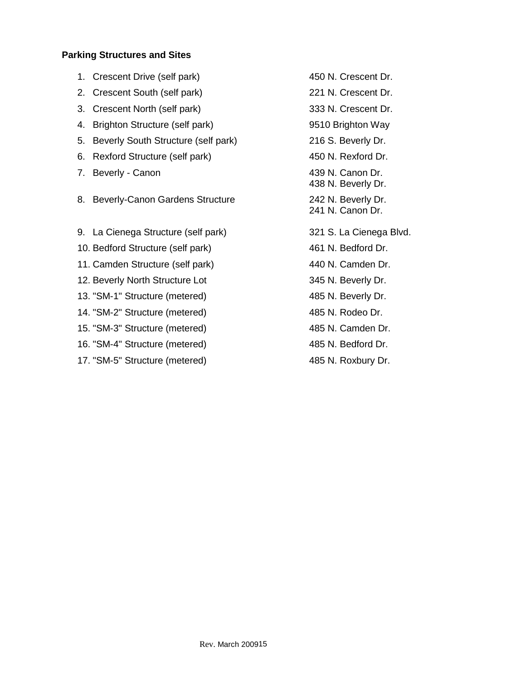# <span id="page-14-0"></span>**Parking Structures and Sites**

|    | 1. Crescent Drive (self park)       | 450 N. Crescent Dr.                    |
|----|-------------------------------------|----------------------------------------|
| 2. | Crescent South (self park)          | 221 N. Crescent Dr.                    |
| 3. | Crescent North (self park)          | 333 N. Crescent Dr.                    |
| 4. | Brighton Structure (self park)      | 9510 Brighton Way                      |
| 5. | Beverly South Structure (self park) | 216 S. Beverly Dr.                     |
| 6. | Rexford Structure (self park)       | 450 N. Rexford Dr.                     |
|    | 7. Beverly - Canon                  | 439 N. Canon Dr.<br>438 N. Beverly Dr. |
|    | 8. Beverly-Canon Gardens Structure  | 242 N. Beverly Dr.<br>241 N. Canon Dr. |
|    | 9. La Cienega Structure (self park) | 321 S. La Cienega Blvd.                |
|    | 10. Bedford Structure (self park)   | 461 N. Bedford Dr.                     |
|    | 11. Camden Structure (self park)    | 440 N. Camden Dr.                      |
|    | 12. Beverly North Structure Lot     | 345 N. Beverly Dr.                     |
|    | 13. "SM-1" Structure (metered)      | 485 N. Beverly Dr.                     |
|    | 14. "SM-2" Structure (metered)      | 485 N. Rodeo Dr.                       |
|    | 15. "SM-3" Structure (metered)      | 485 N. Camden Dr.                      |
|    | 16. "SM-4" Structure (metered)      | 485 N. Bedford Dr.                     |
|    | 17. "SM-5" Structure (metered)      | 485 N. Roxbury Dr.                     |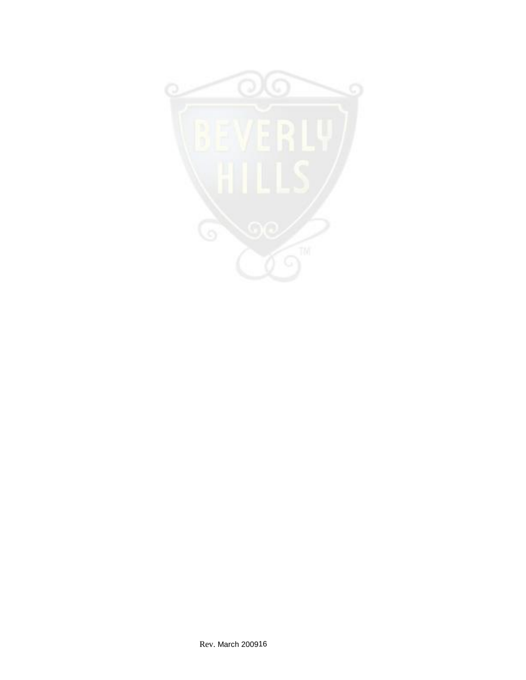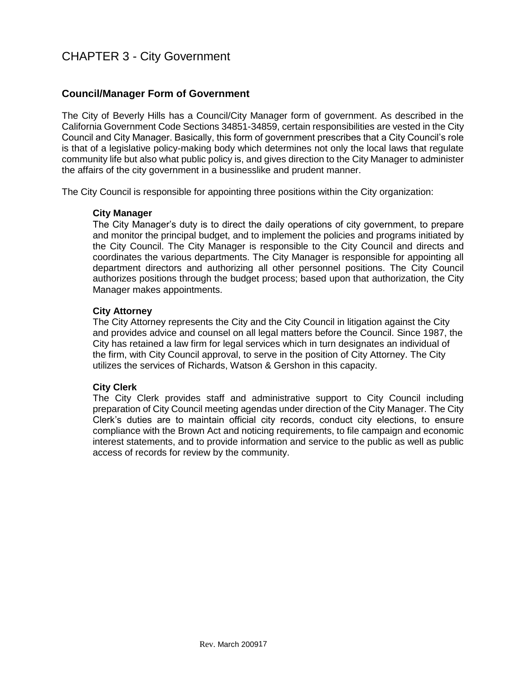# <span id="page-16-0"></span>CHAPTER 3 - City Government

## <span id="page-16-1"></span>**Council/Manager Form of Government**

The City of Beverly Hills has a Council/City Manager form of government. As described in the California Government Code Sections 34851-34859, certain responsibilities are vested in the City Council and City Manager. Basically, this form of government prescribes that a City Council's role is that of a legislative policy-making body which determines not only the local laws that regulate community life but also what public policy is, and gives direction to the City Manager to administer the affairs of the city government in a businesslike and prudent manner.

The City Council is responsible for appointing three positions within the City organization:

#### **City Manager**

The City Manager's duty is to direct the daily operations of city government, to prepare and monitor the principal budget, and to implement the policies and programs initiated by the City Council. The City Manager is responsible to the City Council and directs and coordinates the various departments. The City Manager is responsible for appointing all department directors and authorizing all other personnel positions. The City Council authorizes positions through the budget process; based upon that authorization, the City Manager makes appointments.

#### **City Attorney**

The City Attorney represents the City and the City Council in litigation against the City and provides advice and counsel on all legal matters before the Council. Since 1987, the City has retained a law firm for legal services which in turn designates an individual of the firm, with City Council approval, to serve in the position of City Attorney. The City utilizes the services of Richards, Watson & Gershon in this capacity.

#### **City Clerk**

The City Clerk provides staff and administrative support to City Council including preparation of City Council meeting agendas under direction of the City Manager. The City Clerk's duties are to maintain official city records, conduct city elections, to ensure compliance with the Brown Act and noticing requirements, to file campaign and economic interest statements, and to provide information and service to the public as well as public access of records for review by the community.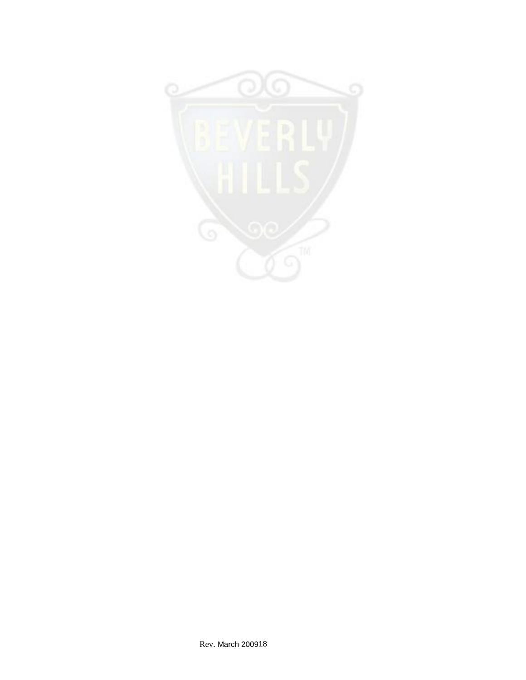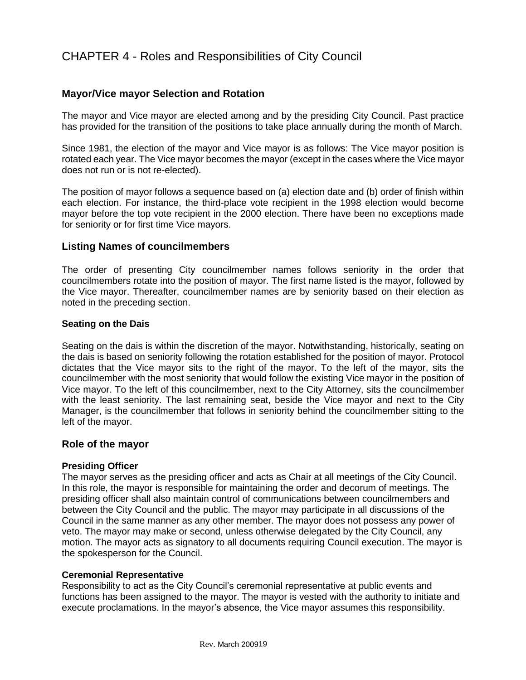# <span id="page-18-0"></span>CHAPTER 4 - Roles and Responsibilities of City Council

## <span id="page-18-1"></span>**Mayor/Vice mayor Selection and Rotation**

The mayor and Vice mayor are elected among and by the presiding City Council. Past practice has provided for the transition of the positions to take place annually during the month of March.

Since 1981, the election of the mayor and Vice mayor is as follows: The Vice mayor position is rotated each year. The Vice mayor becomes the mayor (except in the cases where the Vice mayor does not run or is not re-elected).

The position of mayor follows a sequence based on (a) election date and (b) order of finish within each election. For instance, the third-place vote recipient in the 1998 election would become mayor before the top vote recipient in the 2000 election. There have been no exceptions made for seniority or for first time Vice mayors.

### **Listing Names of councilmembers**

The order of presenting City councilmember names follows seniority in the order that councilmembers rotate into the position of mayor. The first name listed is the mayor, followed by the Vice mayor. Thereafter, councilmember names are by seniority based on their election as noted in the preceding section.

#### **Seating on the Dais**

Seating on the dais is within the discretion of the mayor. Notwithstanding, historically, seating on the dais is based on seniority following the rotation established for the position of mayor. Protocol dictates that the Vice mayor sits to the right of the mayor. To the left of the mayor, sits the councilmember with the most seniority that would follow the existing Vice mayor in the position of Vice mayor. To the left of this councilmember, next to the City Attorney, sits the councilmember with the least seniority. The last remaining seat, beside the Vice mayor and next to the City Manager, is the councilmember that follows in seniority behind the councilmember sitting to the left of the mayor.

### <span id="page-18-2"></span>**Role of the mayor**

#### **Presiding Officer**

The mayor serves as the presiding officer and acts as Chair at all meetings of the City Council. In this role, the mayor is responsible for maintaining the order and decorum of meetings. The presiding officer shall also maintain control of communications between councilmembers and between the City Council and the public. The mayor may participate in all discussions of the Council in the same manner as any other member. The mayor does not possess any power of veto. The mayor may make or second, unless otherwise delegated by the City Council, any motion. The mayor acts as signatory to all documents requiring Council execution. The mayor is the spokesperson for the Council.

#### **Ceremonial Representative**

Responsibility to act as the City Council's ceremonial representative at public events and functions has been assigned to the mayor. The mayor is vested with the authority to initiate and execute proclamations. In the mayor's absence, the Vice mayor assumes this responsibility.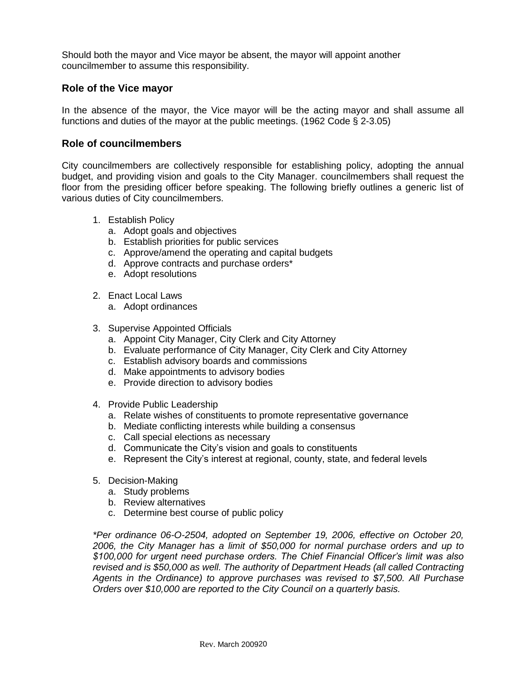Should both the mayor and Vice mayor be absent, the mayor will appoint another councilmember to assume this responsibility.

## <span id="page-19-0"></span>**Role of the Vice mayor**

In the absence of the mayor, the Vice mayor will be the acting mayor and shall assume all functions and duties of the mayor at the public meetings. (1962 Code § 2-3.05)

### <span id="page-19-1"></span>**Role of councilmembers**

City councilmembers are collectively responsible for establishing policy, adopting the annual budget, and providing vision and goals to the City Manager. councilmembers shall request the floor from the presiding officer before speaking. The following briefly outlines a generic list of various duties of City councilmembers.

- 1. Establish Policy
	- a. Adopt goals and objectives
	- b. Establish priorities for public services
	- c. Approve/amend the operating and capital budgets
	- d. Approve contracts and purchase orders\*
	- e. Adopt resolutions
- 2. Enact Local Laws
	- a. Adopt ordinances
- 3. Supervise Appointed Officials
	- a. Appoint City Manager, City Clerk and City Attorney
	- b. Evaluate performance of City Manager, City Clerk and City Attorney
	- c. Establish advisory boards and commissions
	- d. Make appointments to advisory bodies
	- e. Provide direction to advisory bodies
- 4. Provide Public Leadership
	- a. Relate wishes of constituents to promote representative governance
	- b. Mediate conflicting interests while building a consensus
	- c. Call special elections as necessary
	- d. Communicate the City's vision and goals to constituents
	- e. Represent the City's interest at regional, county, state, and federal levels
- 5. Decision-Making
	- a. Study problems
	- b. Review alternatives
	- c. Determine best course of public policy

*\*Per ordinance 06-O-2504, adopted on September 19, 2006, effective on October 20, 2006, the City Manager has a limit of \$50,000 for normal purchase orders and up to \$100,000 for urgent need purchase orders. The Chief Financial Officer's limit was also revised and is \$50,000 as well. The authority of Department Heads (all called Contracting Agents in the Ordinance) to approve purchases was revised to \$7,500. All Purchase Orders over \$10,000 are reported to the City Council on a quarterly basis.*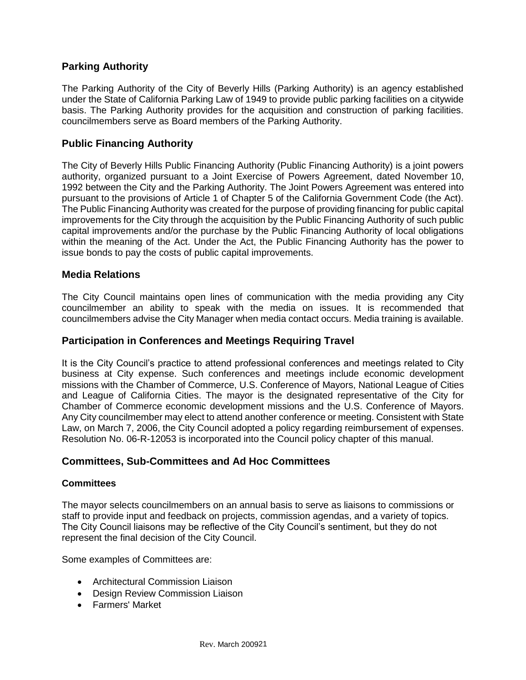## <span id="page-20-0"></span>**Parking Authority**

The Parking Authority of the City of Beverly Hills (Parking Authority) is an agency established under the State of California Parking Law of 1949 to provide public parking facilities on a citywide basis. The Parking Authority provides for the acquisition and construction of parking facilities. councilmembers serve as Board members of the Parking Authority.

## <span id="page-20-1"></span>**Public Financing Authority**

The City of Beverly Hills Public Financing Authority (Public Financing Authority) is a joint powers authority, organized pursuant to a Joint Exercise of Powers Agreement, dated November 10, 1992 between the City and the Parking Authority. The Joint Powers Agreement was entered into pursuant to the provisions of Article 1 of Chapter 5 of the California Government Code (the Act). The Public Financing Authority was created for the purpose of providing financing for public capital improvements for the City through the acquisition by the Public Financing Authority of such public capital improvements and/or the purchase by the Public Financing Authority of local obligations within the meaning of the Act. Under the Act, the Public Financing Authority has the power to issue bonds to pay the costs of public capital improvements.

#### <span id="page-20-2"></span>**Media Relations**

The City Council maintains open lines of communication with the media providing any City councilmember an ability to speak with the media on issues. It is recommended that councilmembers advise the City Manager when media contact occurs. Media training is available.

#### <span id="page-20-3"></span>**Participation in Conferences and Meetings Requiring Travel**

It is the City Council's practice to attend professional conferences and meetings related to City business at City expense. Such conferences and meetings include economic development missions with the Chamber of Commerce, U.S. Conference of Mayors, National League of Cities and League of California Cities. The mayor is the designated representative of the City for Chamber of Commerce economic development missions and the U.S. Conference of Mayors. Any City councilmember may elect to attend another conference or meeting. Consistent with State Law, on March 7, 2006, the City Council adopted a policy regarding reimbursement of expenses. Resolution No. 06-R-12053 is incorporated into the Council policy chapter of this manual.

### <span id="page-20-4"></span>**Committees, Sub-Committees and Ad Hoc Committees**

#### **Committees**

The mayor selects councilmembers on an annual basis to serve as liaisons to commissions or staff to provide input and feedback on projects, commission agendas, and a variety of topics. The City Council liaisons may be reflective of the City Council's sentiment, but they do not represent the final decision of the City Council.

Some examples of Committees are:

- Architectural Commission Liaison
- Design Review Commission Liaison
- Farmers' Market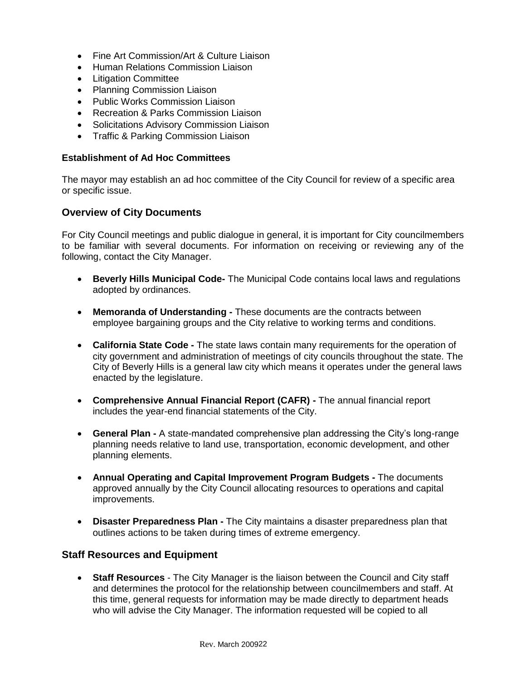- Fine Art Commission/Art & Culture Liaison
- **Human Relations Commission Liaison**
- Litigation Committee
- Planning Commission Liaison
- Public Works Commission Liaison
- Recreation & Parks Commission Liaison
- **•** Solicitations Advisory Commission Liaison
- Traffic & Parking Commission Liaison

#### **Establishment of Ad Hoc Committees**

The mayor may establish an ad hoc committee of the City Council for review of a specific area or specific issue.

## <span id="page-21-0"></span>**Overview of City Documents**

For City Council meetings and public dialogue in general, it is important for City councilmembers to be familiar with several documents. For information on receiving or reviewing any of the following, contact the City Manager.

- **Beverly Hills Municipal Code-** The Municipal Code contains local laws and regulations adopted by ordinances.
- **Memoranda of Understanding -** These documents are the contracts between employee bargaining groups and the City relative to working terms and conditions.
- **California State Code -** The state laws contain many requirements for the operation of city government and administration of meetings of city councils throughout the state. The City of Beverly Hills is a general law city which means it operates under the general laws enacted by the legislature.
- **Comprehensive Annual Financial Report (CAFR) -** The annual financial report includes the year-end financial statements of the City.
- **General Plan -** A state-mandated comprehensive plan addressing the City's long-range planning needs relative to land use, transportation, economic development, and other planning elements.
- **Annual Operating and Capital Improvement Program Budgets -** The documents approved annually by the City Council allocating resources to operations and capital improvements.
- **Disaster Preparedness Plan -** The City maintains a disaster preparedness plan that outlines actions to be taken during times of extreme emergency.

## <span id="page-21-1"></span>**Staff Resources and Equipment**

 **Staff Resources** - The City Manager is the liaison between the Council and City staff and determines the protocol for the relationship between councilmembers and staff. At this time, general requests for information may be made directly to department heads who will advise the City Manager. The information requested will be copied to all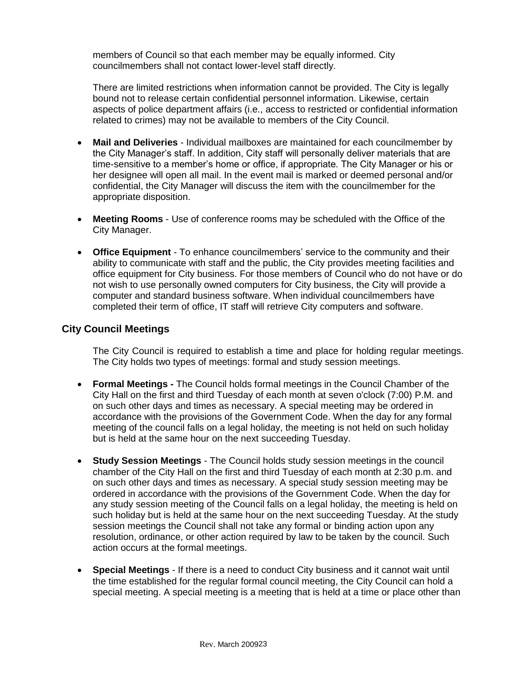members of Council so that each member may be equally informed. City councilmembers shall not contact lower-level staff directly.

There are limited restrictions when information cannot be provided. The City is legally bound not to release certain confidential personnel information. Likewise, certain aspects of police department affairs (i.e., access to restricted or confidential information related to crimes) may not be available to members of the City Council.

- **Mail and Deliveries** Individual mailboxes are maintained for each councilmember by the City Manager's staff. In addition, City staff will personally deliver materials that are time-sensitive to a member's home or office, if appropriate. The City Manager or his or her designee will open all mail. In the event mail is marked or deemed personal and/or confidential, the City Manager will discuss the item with the councilmember for the appropriate disposition.
- **Meeting Rooms** Use of conference rooms may be scheduled with the Office of the City Manager.
- **Office Equipment** To enhance councilmembers' service to the community and their ability to communicate with staff and the public, the City provides meeting facilities and office equipment for City business. For those members of Council who do not have or do not wish to use personally owned computers for City business, the City will provide a computer and standard business software. When individual councilmembers have completed their term of office, IT staff will retrieve City computers and software.

## <span id="page-22-0"></span>**City Council Meetings**

The City Council is required to establish a time and place for holding regular meetings. The City holds two types of meetings: formal and study session meetings.

- **Formal Meetings -** The Council holds formal meetings in the Council Chamber of the City Hall on the first and third Tuesday of each month at seven o'clock (7:00) P.M. and on such other days and times as necessary. A special meeting may be ordered in accordance with the provisions of the Government Code. When the day for any formal meeting of the council falls on a legal holiday, the meeting is not held on such holiday but is held at the same hour on the next succeeding Tuesday.
- **Study Session Meetings** The Council holds study session meetings in the council chamber of the City Hall on the first and third Tuesday of each month at 2:30 p.m. and on such other days and times as necessary. A special study session meeting may be ordered in accordance with the provisions of the Government Code. When the day for any study session meeting of the Council falls on a legal holiday, the meeting is held on such holiday but is held at the same hour on the next succeeding Tuesday. At the study session meetings the Council shall not take any formal or binding action upon any resolution, ordinance, or other action required by law to be taken by the council. Such action occurs at the formal meetings.
- **Special Meetings** If there is a need to conduct City business and it cannot wait until the time established for the regular formal council meeting, the City Council can hold a special meeting. A special meeting is a meeting that is held at a time or place other than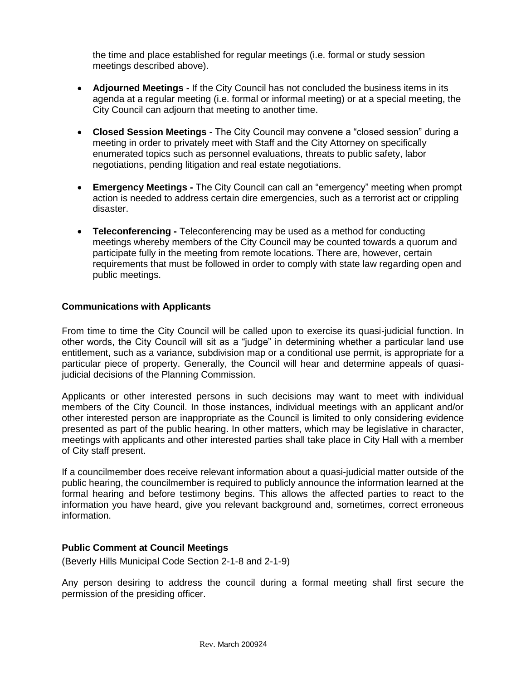the time and place established for regular meetings (i.e. formal or study session meetings described above).

- **Adjourned Meetings -** If the City Council has not concluded the business items in its agenda at a regular meeting (i.e. formal or informal meeting) or at a special meeting, the City Council can adjourn that meeting to another time.
- **Closed Session Meetings -** The City Council may convene a "closed session" during a meeting in order to privately meet with Staff and the City Attorney on specifically enumerated topics such as personnel evaluations, threats to public safety, labor negotiations, pending litigation and real estate negotiations.
- **Emergency Meetings -** The City Council can call an "emergency" meeting when prompt action is needed to address certain dire emergencies, such as a terrorist act or crippling disaster.
- **Teleconferencing -** Teleconferencing may be used as a method for conducting meetings whereby members of the City Council may be counted towards a quorum and participate fully in the meeting from remote locations. There are, however, certain requirements that must be followed in order to comply with state law regarding open and public meetings.

### <span id="page-23-0"></span>**Communications with Applicants**

From time to time the City Council will be called upon to exercise its quasi-judicial function. In other words, the City Council will sit as a "judge" in determining whether a particular land use entitlement, such as a variance, subdivision map or a conditional use permit, is appropriate for a particular piece of property. Generally, the Council will hear and determine appeals of quasijudicial decisions of the Planning Commission.

Applicants or other interested persons in such decisions may want to meet with individual members of the City Council. In those instances, individual meetings with an applicant and/or other interested person are inappropriate as the Council is limited to only considering evidence presented as part of the public hearing. In other matters, which may be legislative in character, meetings with applicants and other interested parties shall take place in City Hall with a member of City staff present.

If a councilmember does receive relevant information about a quasi-judicial matter outside of the public hearing, the councilmember is required to publicly announce the information learned at the formal hearing and before testimony begins. This allows the affected parties to react to the information you have heard, give you relevant background and, sometimes, correct erroneous information.

### <span id="page-23-1"></span>**Public Comment at Council Meetings**

(Beverly Hills Municipal Code Section 2-1-8 and 2-1-9)

Any person desiring to address the council during a formal meeting shall first secure the permission of the presiding officer.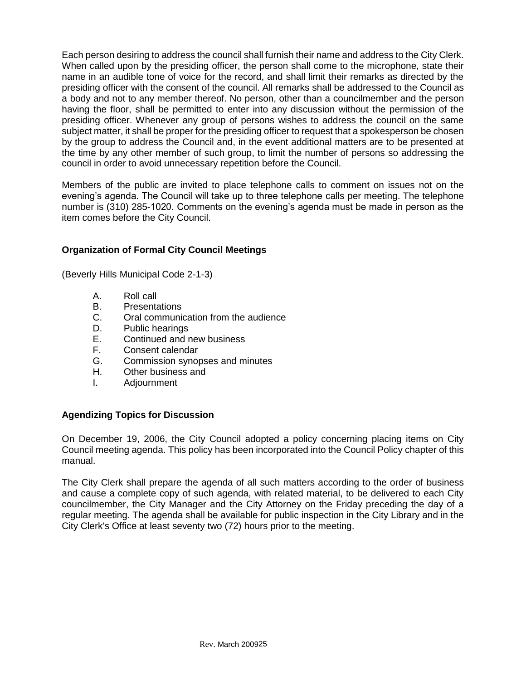Each person desiring to address the council shall furnish their name and address to the City Clerk. When called upon by the presiding officer, the person shall come to the microphone, state their name in an audible tone of voice for the record, and shall limit their remarks as directed by the presiding officer with the consent of the council. All remarks shall be addressed to the Council as a body and not to any member thereof. No person, other than a councilmember and the person having the floor, shall be permitted to enter into any discussion without the permission of the presiding officer. Whenever any group of persons wishes to address the council on the same subject matter, it shall be proper for the presiding officer to request that a spokesperson be chosen by the group to address the Council and, in the event additional matters are to be presented at the time by any other member of such group, to limit the number of persons so addressing the council in order to avoid unnecessary repetition before the Council.

Members of the public are invited to place telephone calls to comment on issues not on the evening's agenda. The Council will take up to three telephone calls per meeting. The telephone number is (310) 285-1020. Comments on the evening's agenda must be made in person as the item comes before the City Council.

## <span id="page-24-0"></span>**Organization of Formal City Council Meetings**

(Beverly Hills Municipal Code 2-1-3)

- A. Roll call
- B. Presentations
- C. Oral communication from the audience
- D. Public hearings
- E. Continued and new business
- F. Consent calendar
- G. Commission synopses and minutes
- H. Other business and
- I. Adjournment

### <span id="page-24-1"></span>**Agendizing Topics for Discussion**

On December 19, 2006, the City Council adopted a policy concerning placing items on City Council meeting agenda. This policy has been incorporated into the Council Policy chapter of this manual.

The City Clerk shall prepare the agenda of all such matters according to the order of business and cause a complete copy of such agenda, with related material, to be delivered to each City councilmember, the City Manager and the City Attorney on the Friday preceding the day of a regular meeting. The agenda shall be available for public inspection in the City Library and in the City Clerk's Office at least seventy two (72) hours prior to the meeting.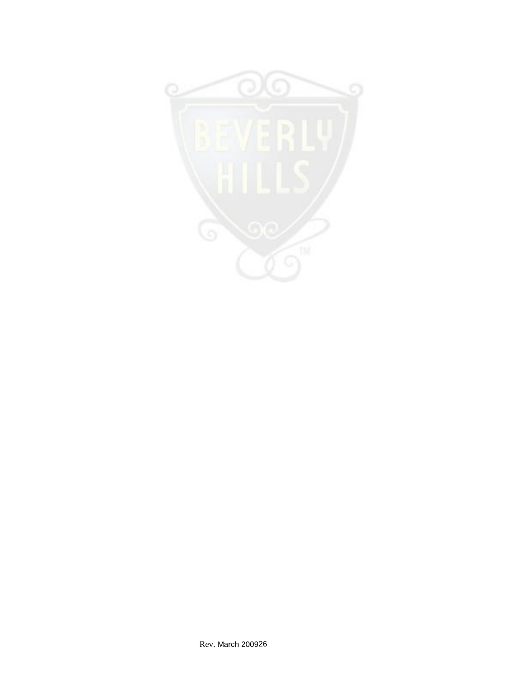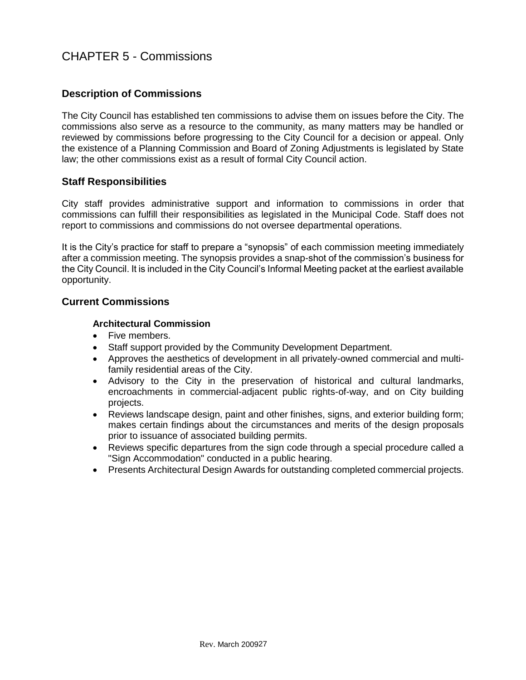# <span id="page-26-0"></span>CHAPTER 5 - Commissions

## <span id="page-26-1"></span>**Description of Commissions**

The City Council has established ten commissions to advise them on issues before the City. The commissions also serve as a resource to the community, as many matters may be handled or reviewed by commissions before progressing to the City Council for a decision or appeal. Only the existence of a Planning Commission and Board of Zoning Adjustments is legislated by State law; the other commissions exist as a result of formal City Council action.

## <span id="page-26-2"></span>**Staff Responsibilities**

City staff provides administrative support and information to commissions in order that commissions can fulfill their responsibilities as legislated in the Municipal Code. Staff does not report to commissions and commissions do not oversee departmental operations.

It is the City's practice for staff to prepare a "synopsis" of each commission meeting immediately after a commission meeting. The synopsis provides a snap-shot of the commission's business for the City Council. It is included in the City Council's Informal Meeting packet at the earliest available opportunity.

## <span id="page-26-4"></span><span id="page-26-3"></span>**Current Commissions**

### **Architectural Commission**

- Five members.
- Staff support provided by the Community Development Department.
- Approves the aesthetics of development in all privately-owned commercial and multifamily residential areas of the City.
- Advisory to the City in the preservation of historical and cultural landmarks, encroachments in commercial-adjacent public rights-of-way, and on City building projects.
- Reviews landscape design, paint and other finishes, signs, and exterior building form; makes certain findings about the circumstances and merits of the design proposals prior to issuance of associated building permits.
- Reviews specific departures from the sign code through a special procedure called a "Sign Accommodation" conducted in a public hearing.
- Presents Architectural Design Awards for outstanding completed commercial projects.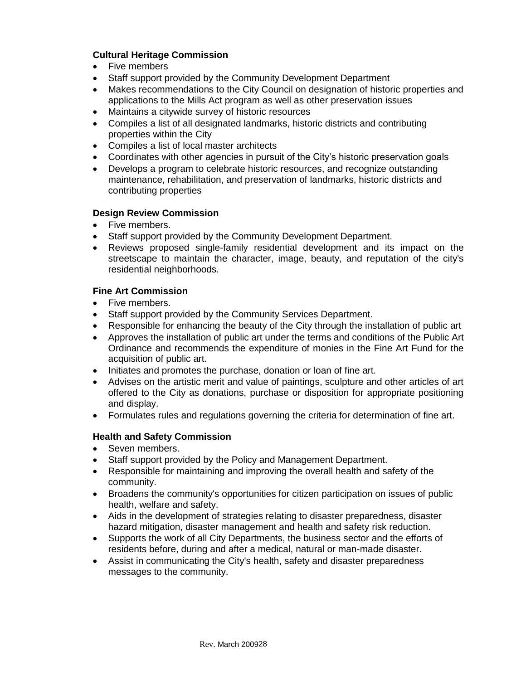## <span id="page-27-0"></span>**Cultural Heritage Commission**

- Five members
- Staff support provided by the Community Development Department
- Makes recommendations to the City Council on designation of historic properties and applications to the Mills Act program as well as other preservation issues
- Maintains a citywide survey of historic resources
- Compiles a list of all designated landmarks, historic districts and contributing properties within the City
- Compiles a list of local master architects
- Coordinates with other agencies in pursuit of the City's historic preservation goals
- Develops a program to celebrate historic resources, and recognize outstanding maintenance, rehabilitation, and preservation of landmarks, historic districts and contributing properties

## **Design Review Commission**

- Five members.
- Staff support provided by the Community Development Department.
- Reviews proposed single-family residential development and its impact on the streetscape to maintain the character, image, beauty, and reputation of the city's residential neighborhoods.

## <span id="page-27-1"></span>**Fine Art Commission**

- Five members.
- Staff support provided by the Community Services Department.
- Responsible for enhancing the beauty of the City through the installation of public art
- Approves the installation of public art under the terms and conditions of the Public Art Ordinance and recommends the expenditure of monies in the Fine Art Fund for the acquisition of public art.
- Initiates and promotes the purchase, donation or loan of fine art.
- Advises on the artistic merit and value of paintings, sculpture and other articles of art offered to the City as donations, purchase or disposition for appropriate positioning and display.
- Formulates rules and regulations governing the criteria for determination of fine art.

### <span id="page-27-2"></span>**Health and Safety Commission**

- Seven members.
- Staff support provided by the Policy and Management Department.
- Responsible for maintaining and improving the overall health and safety of the community.
- Broadens the community's opportunities for citizen participation on issues of public health, welfare and safety.
- Aids in the development of strategies relating to disaster preparedness, disaster hazard mitigation, disaster management and health and safety risk reduction.
- Supports the work of all City Departments, the business sector and the efforts of residents before, during and after a medical, natural or man-made disaster.
- Assist in communicating the City's health, safety and disaster preparedness messages to the community.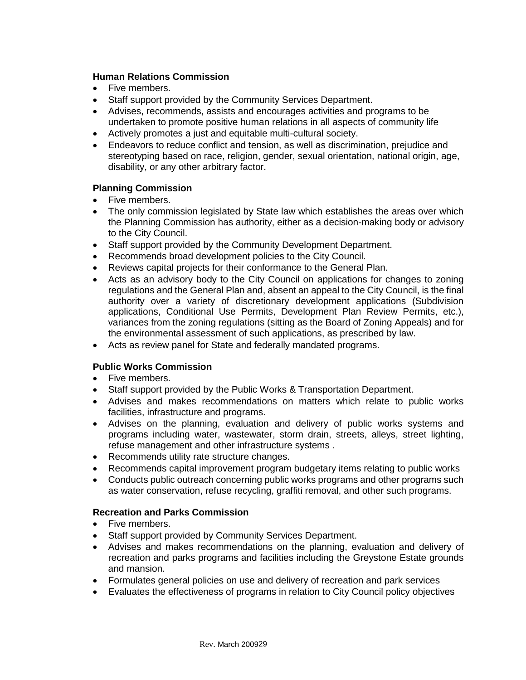## <span id="page-28-0"></span>**Human Relations Commission**

- Five members.
- Staff support provided by the Community Services Department.
- Advises, recommends, assists and encourages activities and programs to be undertaken to promote positive human relations in all aspects of community life
- Actively promotes a just and equitable multi-cultural society.
- Endeavors to reduce conflict and tension, as well as discrimination, prejudice and stereotyping based on race, religion, gender, sexual orientation, national origin, age, disability, or any other arbitrary factor.

### <span id="page-28-1"></span>**Planning Commission**

- Five members.
- The only commission legislated by State law which establishes the areas over which the Planning Commission has authority, either as a decision-making body or advisory to the City Council.
- Staff support provided by the Community Development Department.
- Recommends broad development policies to the City Council.
- Reviews capital projects for their conformance to the General Plan.
- Acts as an advisory body to the City Council on applications for changes to zoning regulations and the General Plan and, absent an appeal to the City Council, is the final authority over a variety of discretionary development applications (Subdivision applications, Conditional Use Permits, Development Plan Review Permits, etc.), variances from the zoning regulations (sitting as the Board of Zoning Appeals) and for the environmental assessment of such applications, as prescribed by law.
- Acts as review panel for State and federally mandated programs.

### <span id="page-28-2"></span>**Public Works Commission**

- Five members.
- Staff support provided by the Public Works & Transportation Department.
- Advises and makes recommendations on matters which relate to public works facilities, infrastructure and programs.
- Advises on the planning, evaluation and delivery of public works systems and programs including water, wastewater, storm drain, streets, alleys, street lighting, refuse management and other infrastructure systems .
- Recommends utility rate structure changes.
- Recommends capital improvement program budgetary items relating to public works
- Conducts public outreach concerning public works programs and other programs such as water conservation, refuse recycling, graffiti removal, and other such programs.

#### <span id="page-28-3"></span>**Recreation and Parks Commission**

- Five members.
- Staff support provided by Community Services Department.
- Advises and makes recommendations on the planning, evaluation and delivery of recreation and parks programs and facilities including the Greystone Estate grounds and mansion.
- Formulates general policies on use and delivery of recreation and park services
- Evaluates the effectiveness of programs in relation to City Council policy objectives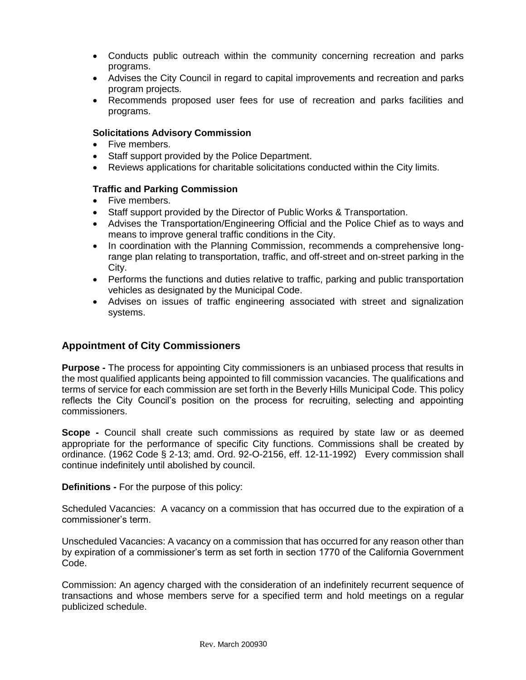- Conducts public outreach within the community concerning recreation and parks programs.
- Advises the City Council in regard to capital improvements and recreation and parks program projects.
- Recommends proposed user fees for use of recreation and parks facilities and programs.

#### <span id="page-29-0"></span>**Solicitations Advisory Commission**

- Five members.
- Staff support provided by the Police Department.
- Reviews applications for charitable solicitations conducted within the City limits.

#### <span id="page-29-1"></span>**Traffic and Parking Commission**

- Five members.
- Staff support provided by the Director of Public Works & Transportation.
- Advises the Transportation/Engineering Official and the Police Chief as to ways and means to improve general traffic conditions in the City.
- In coordination with the Planning Commission, recommends a comprehensive longrange plan relating to transportation, traffic, and off-street and on-street parking in the City.
- Performs the functions and duties relative to traffic, parking and public transportation vehicles as designated by the Municipal Code.
- Advises on issues of traffic engineering associated with street and signalization systems.

### <span id="page-29-2"></span>**Appointment of City Commissioners**

**Purpose -** The process for appointing City commissioners is an unbiased process that results in the most qualified applicants being appointed to fill commission vacancies. The qualifications and terms of service for each commission are set forth in the Beverly Hills Municipal Code. This policy reflects the City Council's position on the process for recruiting, selecting and appointing commissioners.

**Scope -** Council shall create such commissions as required by state law or as deemed appropriate for the performance of specific City functions. Commissions shall be created by ordinance. (1962 Code § 2-13; amd. Ord. 92-O-2156, eff. 12-11-1992) Every commission shall continue indefinitely until abolished by council.

**Definitions -** For the purpose of this policy:

Scheduled Vacancies: A vacancy on a commission that has occurred due to the expiration of a commissioner's term.

Unscheduled Vacancies: A vacancy on a commission that has occurred for any reason other than by expiration of a commissioner's term as set forth in section 1770 of the California Government Code.

Commission: An agency charged with the consideration of an indefinitely recurrent sequence of transactions and whose members serve for a specified term and hold meetings on a regular publicized schedule.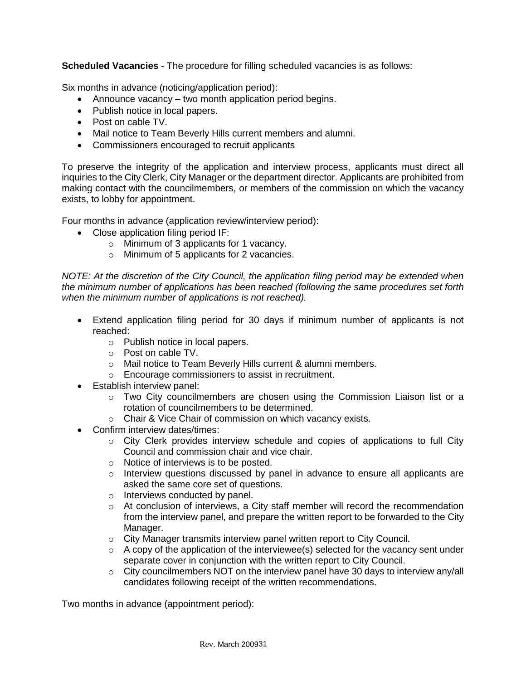**Scheduled Vacancies** - The procedure for filling scheduled vacancies is as follows:

Six months in advance (noticing/application period):

- Announce vacancy two month application period begins.
- Publish notice in local papers.
- Post on cable TV.
- Mail notice to Team Beverly Hills current members and alumni.
- Commissioners encouraged to recruit applicants

To preserve the integrity of the application and interview process, applicants must direct all inquiries to the City Clerk, City Manager or the department director. Applicants are prohibited from making contact with the councilmembers, or members of the commission on which the vacancy exists, to lobby for appointment.

Four months in advance (application review/interview period):

- Close application filing period IF:
	- o Minimum of 3 applicants for 1 vacancy.
	- o Minimum of 5 applicants for 2 vacancies.

*NOTE: At the discretion of the City Council, the application filing period may be extended when the minimum number of applications has been reached (following the same procedures set forth when the minimum number of applications is not reached).*

- Extend application filing period for 30 days if minimum number of applicants is not reached:
	- o Publish notice in local papers.
	- o Post on cable TV.
	- o Mail notice to Team Beverly Hills current & alumni members.
	- o Encourage commissioners to assist in recruitment.
- Establish interview panel:
	- o Two City councilmembers are chosen using the Commission Liaison list or a rotation of councilmembers to be determined.
	- o Chair & Vice Chair of commission on which vacancy exists.
- Confirm interview dates/times:
	- o City Clerk provides interview schedule and copies of applications to full City Council and commission chair and vice chair.
	- o Notice of interviews is to be posted.
	- $\circ$  Interview questions discussed by panel in advance to ensure all applicants are asked the same core set of questions.
	- o Interviews conducted by panel.
	- $\circ$  At conclusion of interviews, a City staff member will record the recommendation from the interview panel, and prepare the written report to be forwarded to the City Manager.
	- o City Manager transmits interview panel written report to City Council.
	- $\circ$  A copy of the application of the interviewee(s) selected for the vacancy sent under separate cover in conjunction with the written report to City Council.
	- $\circ$  City councilmembers NOT on the interview panel have 30 days to interview any/all candidates following receipt of the written recommendations.

Two months in advance (appointment period):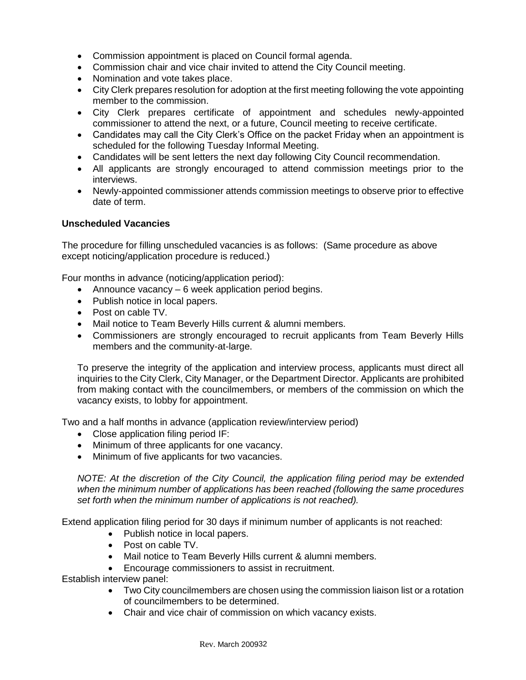- Commission appointment is placed on Council formal agenda.
- Commission chair and vice chair invited to attend the City Council meeting.
- Nomination and vote takes place.
- City Clerk prepares resolution for adoption at the first meeting following the vote appointing member to the commission.
- City Clerk prepares certificate of appointment and schedules newly-appointed commissioner to attend the next, or a future, Council meeting to receive certificate.
- Candidates may call the City Clerk's Office on the packet Friday when an appointment is scheduled for the following Tuesday Informal Meeting.
- Candidates will be sent letters the next day following City Council recommendation.
- All applicants are strongly encouraged to attend commission meetings prior to the interviews.
- Newly-appointed commissioner attends commission meetings to observe prior to effective date of term.

### **Unscheduled Vacancies**

The procedure for filling unscheduled vacancies is as follows: (Same procedure as above except noticing/application procedure is reduced.)

Four months in advance (noticing/application period):

- Announce vacancy 6 week application period begins.
- Publish notice in local papers.
- Post on cable TV.
- Mail notice to Team Beverly Hills current & alumni members.
- Commissioners are strongly encouraged to recruit applicants from Team Beverly Hills members and the community-at-large.

To preserve the integrity of the application and interview process, applicants must direct all inquiries to the City Clerk, City Manager, or the Department Director. Applicants are prohibited from making contact with the councilmembers, or members of the commission on which the vacancy exists, to lobby for appointment.

Two and a half months in advance (application review/interview period)

- Close application filing period IF:
- Minimum of three applicants for one vacancy.
- Minimum of five applicants for two vacancies.

*NOTE: At the discretion of the City Council, the application filing period may be extended when the minimum number of applications has been reached (following the same procedures set forth when the minimum number of applications is not reached).*

Extend application filing period for 30 days if minimum number of applicants is not reached:

- Publish notice in local papers.
- Post on cable TV.
- Mail notice to Team Beverly Hills current & alumni members.
- Encourage commissioners to assist in recruitment.

Establish interview panel:

- Two City councilmembers are chosen using the commission liaison list or a rotation of councilmembers to be determined.
- Chair and vice chair of commission on which vacancy exists.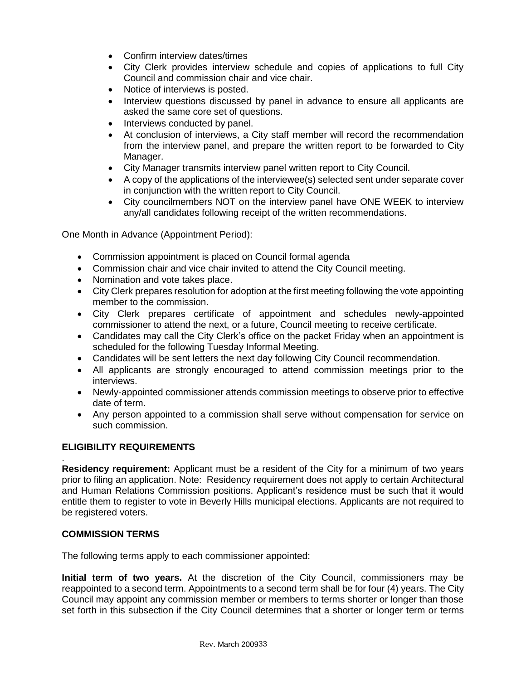- Confirm interview dates/times
- City Clerk provides interview schedule and copies of applications to full City Council and commission chair and vice chair.
- Notice of interviews is posted.
- Interview questions discussed by panel in advance to ensure all applicants are asked the same core set of questions.
- Interviews conducted by panel.
- At conclusion of interviews, a City staff member will record the recommendation from the interview panel, and prepare the written report to be forwarded to City Manager.
- City Manager transmits interview panel written report to City Council.
- A copy of the applications of the interviewee(s) selected sent under separate cover in conjunction with the written report to City Council.
- City councilmembers NOT on the interview panel have ONE WEEK to interview any/all candidates following receipt of the written recommendations.

One Month in Advance (Appointment Period):

- Commission appointment is placed on Council formal agenda
- Commission chair and vice chair invited to attend the City Council meeting.
- Nomination and vote takes place.
- City Clerk prepares resolution for adoption at the first meeting following the vote appointing member to the commission.
- City Clerk prepares certificate of appointment and schedules newly-appointed commissioner to attend the next, or a future, Council meeting to receive certificate.
- Candidates may call the City Clerk's office on the packet Friday when an appointment is scheduled for the following Tuesday Informal Meeting.
- Candidates will be sent letters the next day following City Council recommendation.
- All applicants are strongly encouraged to attend commission meetings prior to the interviews.
- Newly-appointed commissioner attends commission meetings to observe prior to effective date of term.
- Any person appointed to a commission shall serve without compensation for service on such commission.

## **ELIGIBILITY REQUIREMENTS**

**Residency requirement:** Applicant must be a resident of the City for a minimum of two years prior to filing an application. Note: Residency requirement does not apply to certain Architectural and Human Relations Commission positions. Applicant's residence must be such that it would entitle them to register to vote in Beverly Hills municipal elections. Applicants are not required to be registered voters.

### **COMMISSION TERMS**

.

The following terms apply to each commissioner appointed:

**Initial term of two years.** At the discretion of the City Council, commissioners may be reappointed to a second term. Appointments to a second term shall be for four (4) years. The City Council may appoint any commission member or members to terms shorter or longer than those set forth in this subsection if the City Council determines that a shorter or longer term or terms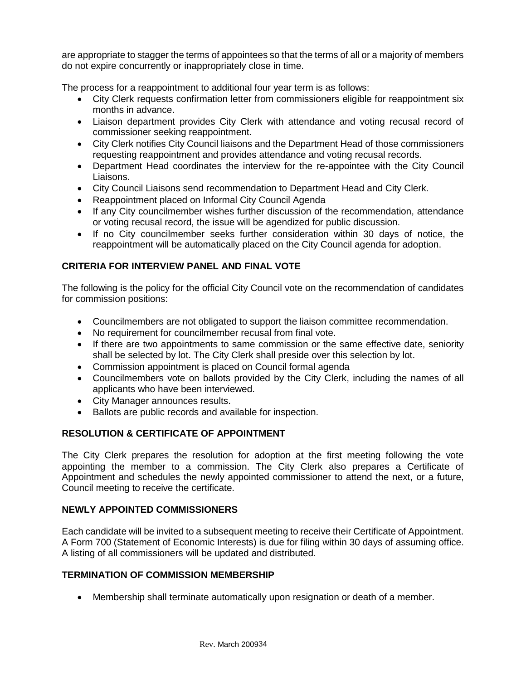are appropriate to stagger the terms of appointees so that the terms of all or a majority of members do not expire concurrently or inappropriately close in time.

The process for a reappointment to additional four year term is as follows:

- City Clerk requests confirmation letter from commissioners eligible for reappointment six months in advance.
- Liaison department provides City Clerk with attendance and voting recusal record of commissioner seeking reappointment.
- City Clerk notifies City Council liaisons and the Department Head of those commissioners requesting reappointment and provides attendance and voting recusal records.
- Department Head coordinates the interview for the re-appointee with the City Council Liaisons.
- City Council Liaisons send recommendation to Department Head and City Clerk.
- Reappointment placed on Informal City Council Agenda
- If any City councilmember wishes further discussion of the recommendation, attendance or voting recusal record, the issue will be agendized for public discussion.
- If no City councilmember seeks further consideration within 30 days of notice, the reappointment will be automatically placed on the City Council agenda for adoption.

## **CRITERIA FOR INTERVIEW PANEL AND FINAL VOTE**

The following is the policy for the official City Council vote on the recommendation of candidates for commission positions:

- Councilmembers are not obligated to support the liaison committee recommendation.
- No requirement for councilmember recusal from final vote.
- If there are two appointments to same commission or the same effective date, seniority shall be selected by lot. The City Clerk shall preside over this selection by lot.
- Commission appointment is placed on Council formal agenda
- Councilmembers vote on ballots provided by the City Clerk, including the names of all applicants who have been interviewed.
- City Manager announces results.
- Ballots are public records and available for inspection.

## **RESOLUTION & CERTIFICATE OF APPOINTMENT**

The City Clerk prepares the resolution for adoption at the first meeting following the vote appointing the member to a commission. The City Clerk also prepares a Certificate of Appointment and schedules the newly appointed commissioner to attend the next, or a future, Council meeting to receive the certificate.

## **NEWLY APPOINTED COMMISSIONERS**

Each candidate will be invited to a subsequent meeting to receive their Certificate of Appointment. A Form 700 (Statement of Economic Interests) is due for filing within 30 days of assuming office. A listing of all commissioners will be updated and distributed.

### **TERMINATION OF COMMISSION MEMBERSHIP**

Membership shall terminate automatically upon resignation or death of a member.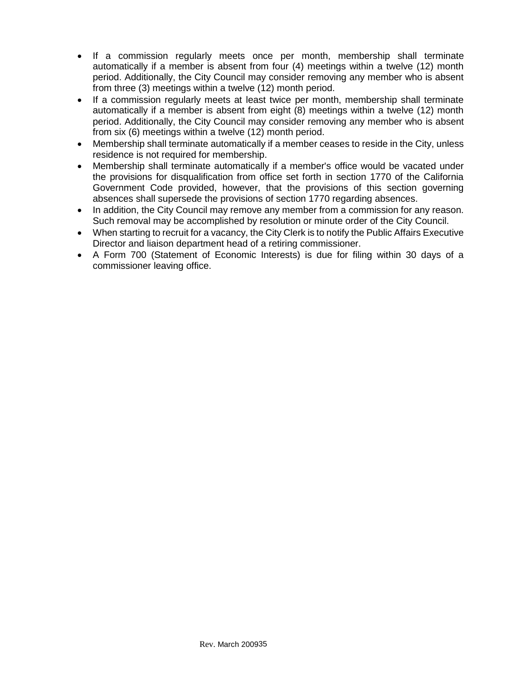- If a commission regularly meets once per month, membership shall terminate automatically if a member is absent from four (4) meetings within a twelve (12) month period. Additionally, the City Council may consider removing any member who is absent from three (3) meetings within a twelve (12) month period.
- If a commission regularly meets at least twice per month, membership shall terminate automatically if a member is absent from eight (8) meetings within a twelve (12) month period. Additionally, the City Council may consider removing any member who is absent from six (6) meetings within a twelve (12) month period.
- Membership shall terminate automatically if a member ceases to reside in the City, unless residence is not required for membership.
- Membership shall terminate automatically if a member's office would be vacated under the provisions for disqualification from office set forth in section 1770 of the California Government Code provided, however, that the provisions of this section governing absences shall supersede the provisions of section 1770 regarding absences.
- In addition, the City Council may remove any member from a commission for any reason. Such removal may be accomplished by resolution or minute order of the City Council.
- When starting to recruit for a vacancy, the City Clerk is to notify the Public Affairs Executive Director and liaison department head of a retiring commissioner.
- A Form 700 (Statement of Economic Interests) is due for filing within 30 days of a commissioner leaving office.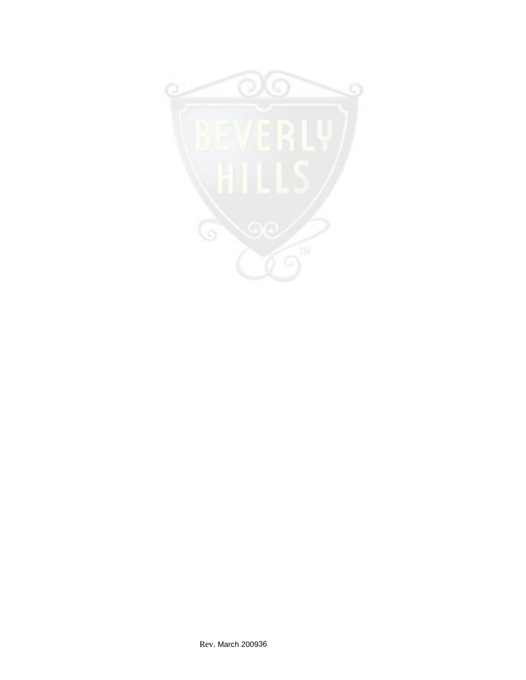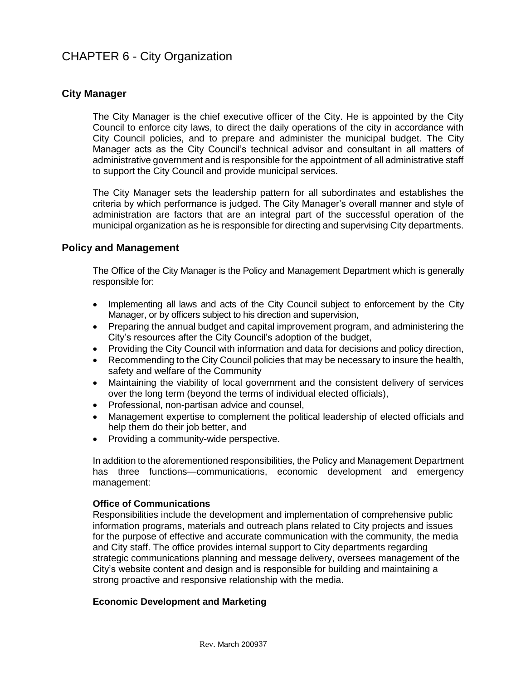# **City Manager**

The City Manager is the chief executive officer of the City. He is appointed by the City Council to enforce city laws, to direct the daily operations of the city in accordance with City Council policies, and to prepare and administer the municipal budget. The City Manager acts as the City Council's technical advisor and consultant in all matters of administrative government and is responsible for the appointment of all administrative staff to support the City Council and provide municipal services.

The City Manager sets the leadership pattern for all subordinates and establishes the criteria by which performance is judged. The City Manager's overall manner and style of administration are factors that are an integral part of the successful operation of the municipal organization as he is responsible for directing and supervising City departments.

# **Policy and Management**

The Office of the City Manager is the Policy and Management Department which is generally responsible for:

- Implementing all laws and acts of the City Council subject to enforcement by the City Manager, or by officers subject to his direction and supervision,
- Preparing the annual budget and capital improvement program, and administering the City's resources after the City Council's adoption of the budget,
- Providing the City Council with information and data for decisions and policy direction,
- Recommending to the City Council policies that may be necessary to insure the health, safety and welfare of the Community
- Maintaining the viability of local government and the consistent delivery of services over the long term (beyond the terms of individual elected officials),
- Professional, non-partisan advice and counsel,
- Management expertise to complement the political leadership of elected officials and help them do their job better, and
- Providing a community-wide perspective.

In addition to the aforementioned responsibilities, the Policy and Management Department has three functions—communications, economic development and emergency management:

#### **Office of Communications**

Responsibilities include the development and implementation of comprehensive public information programs, materials and outreach plans related to City projects and issues for the purpose of effective and accurate communication with the community, the media and City staff. The office provides internal support to City departments regarding strategic communications planning and message delivery, oversees management of the City's website content and design and is responsible for building and maintaining a strong proactive and responsive relationship with the media.

# **Economic Development and Marketing**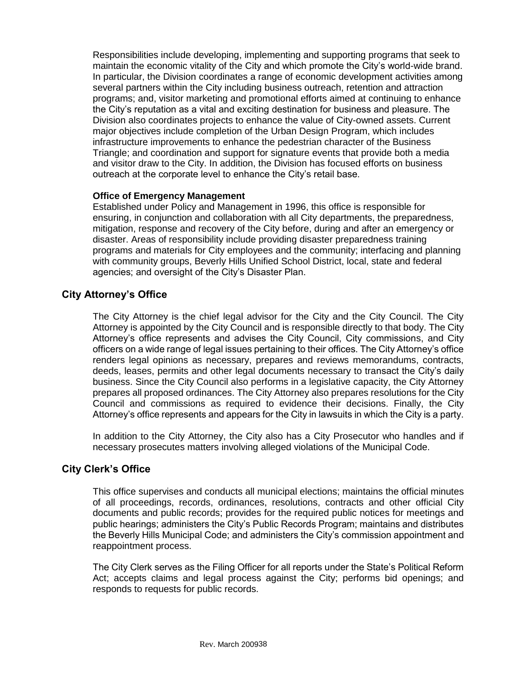Responsibilities include developing, implementing and supporting programs that seek to maintain the economic vitality of the City and which promote the City's world-wide brand. In particular, the Division coordinates a range of economic development activities among several partners within the City including business outreach, retention and attraction programs; and, visitor marketing and promotional efforts aimed at continuing to enhance the City's reputation as a vital and exciting destination for business and pleasure. The Division also coordinates projects to enhance the value of City-owned assets. Current major objectives include completion of the Urban Design Program, which includes infrastructure improvements to enhance the pedestrian character of the Business Triangle; and coordination and support for signature events that provide both a media and visitor draw to the City. In addition, the Division has focused efforts on business outreach at the corporate level to enhance the City's retail base.

### **Office of Emergency Management**

Established under Policy and Management in 1996, this office is responsible for ensuring, in conjunction and collaboration with all City departments, the preparedness, mitigation, response and recovery of the City before, during and after an emergency or disaster. Areas of responsibility include providing disaster preparedness training programs and materials for City employees and the community; interfacing and planning with community groups, Beverly Hills Unified School District, local, state and federal agencies; and oversight of the City's Disaster Plan.

# **City Attorney's Office**

The City Attorney is the chief legal advisor for the City and the City Council. The City Attorney is appointed by the City Council and is responsible directly to that body. The City Attorney's office represents and advises the City Council, City commissions, and City officers on a wide range of legal issues pertaining to their offices. The City Attorney's office renders legal opinions as necessary, prepares and reviews memorandums, contracts, deeds, leases, permits and other legal documents necessary to transact the City's daily business. Since the City Council also performs in a legislative capacity, the City Attorney prepares all proposed ordinances. The City Attorney also prepares resolutions for the City Council and commissions as required to evidence their decisions. Finally, the City Attorney's office represents and appears for the City in lawsuits in which the City is a party.

In addition to the City Attorney, the City also has a City Prosecutor who handles and if necessary prosecutes matters involving alleged violations of the Municipal Code.

# **City Clerk's Office**

This office supervises and conducts all municipal elections; maintains the official minutes of all proceedings, records, ordinances, resolutions, contracts and other official City documents and public records; provides for the required public notices for meetings and public hearings; administers the City's Public Records Program; maintains and distributes the Beverly Hills Municipal Code; and administers the City's commission appointment and reappointment process.

The City Clerk serves as the Filing Officer for all reports under the State's Political Reform Act; accepts claims and legal process against the City; performs bid openings; and responds to requests for public records.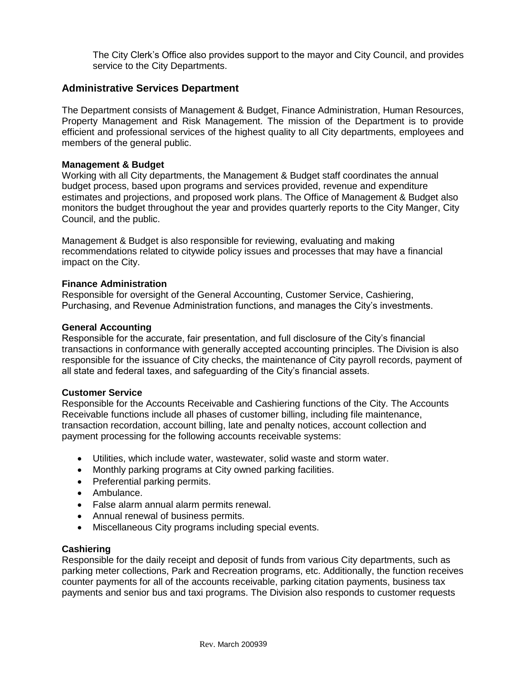The City Clerk's Office also provides support to the mayor and City Council, and provides service to the City Departments.

# **Administrative Services Department**

The Department consists of Management & Budget, Finance Administration, Human Resources, Property Management and Risk Management. The mission of the Department is to provide efficient and professional services of the highest quality to all City departments, employees and members of the general public.

### **Management & Budget**

Working with all City departments, the Management & Budget staff coordinates the annual budget process, based upon programs and services provided, revenue and expenditure estimates and projections, and proposed work plans. The Office of Management & Budget also monitors the budget throughout the year and provides quarterly reports to the City Manger, City Council, and the public.

Management & Budget is also responsible for reviewing, evaluating and making recommendations related to citywide policy issues and processes that may have a financial impact on the City.

### **Finance Administration**

Responsible for oversight of the General Accounting, Customer Service, Cashiering, Purchasing, and Revenue Administration functions, and manages the City's investments.

#### **General Accounting**

Responsible for the accurate, fair presentation, and full disclosure of the City's financial transactions in conformance with generally accepted accounting principles. The Division is also responsible for the issuance of City checks, the maintenance of City payroll records, payment of all state and federal taxes, and safeguarding of the City's financial assets.

#### **Customer Service**

Responsible for the Accounts Receivable and Cashiering functions of the City. The Accounts Receivable functions include all phases of customer billing, including file maintenance, transaction recordation, account billing, late and penalty notices, account collection and payment processing for the following accounts receivable systems:

- Utilities, which include water, wastewater, solid waste and storm water.
- Monthly parking programs at City owned parking facilities.
- Preferential parking permits.
- Ambulance.
- False alarm annual alarm permits renewal.
- Annual renewal of business permits.
- Miscellaneous City programs including special events.

# **Cashiering**

Responsible for the daily receipt and deposit of funds from various City departments, such as parking meter collections, Park and Recreation programs, etc. Additionally, the function receives counter payments for all of the accounts receivable, parking citation payments, business tax payments and senior bus and taxi programs. The Division also responds to customer requests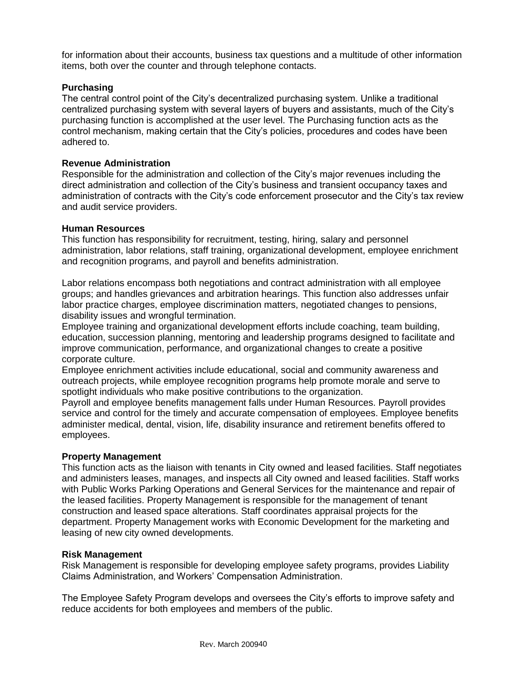for information about their accounts, business tax questions and a multitude of other information items, both over the counter and through telephone contacts.

# **Purchasing**

The central control point of the City's decentralized purchasing system. Unlike a traditional centralized purchasing system with several layers of buyers and assistants, much of the City's purchasing function is accomplished at the user level. The Purchasing function acts as the control mechanism, making certain that the City's policies, procedures and codes have been adhered to.

# **Revenue Administration**

Responsible for the administration and collection of the City's major revenues including the direct administration and collection of the City's business and transient occupancy taxes and administration of contracts with the City's code enforcement prosecutor and the City's tax review and audit service providers.

# **Human Resources**

This function has responsibility for recruitment, testing, hiring, salary and personnel administration, labor relations, staff training, organizational development, employee enrichment and recognition programs, and payroll and benefits administration.

Labor relations encompass both negotiations and contract administration with all employee groups; and handles grievances and arbitration hearings. This function also addresses unfair labor practice charges, employee discrimination matters, negotiated changes to pensions, disability issues and wrongful termination.

Employee training and organizational development efforts include coaching, team building, education, succession planning, mentoring and leadership programs designed to facilitate and improve communication, performance, and organizational changes to create a positive corporate culture.

Employee enrichment activities include educational, social and community awareness and outreach projects, while employee recognition programs help promote morale and serve to spotlight individuals who make positive contributions to the organization.

Payroll and employee benefits management falls under Human Resources. Payroll provides service and control for the timely and accurate compensation of employees. Employee benefits administer medical, dental, vision, life, disability insurance and retirement benefits offered to employees.

# **Property Management**

This function acts as the liaison with tenants in City owned and leased facilities. Staff negotiates and administers leases, manages, and inspects all City owned and leased facilities. Staff works with Public Works Parking Operations and General Services for the maintenance and repair of the leased facilities. Property Management is responsible for the management of tenant construction and leased space alterations. Staff coordinates appraisal projects for the department. Property Management works with Economic Development for the marketing and leasing of new city owned developments.

# **Risk Management**

Risk Management is responsible for developing employee safety programs, provides Liability Claims Administration, and Workers' Compensation Administration.

The Employee Safety Program develops and oversees the City's efforts to improve safety and reduce accidents for both employees and members of the public.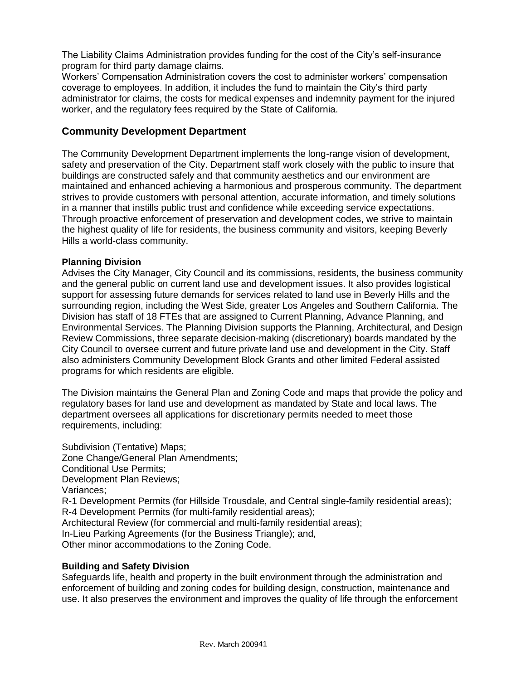The Liability Claims Administration provides funding for the cost of the City's self-insurance program for third party damage claims.

Workers' Compensation Administration covers the cost to administer workers' compensation coverage to employees. In addition, it includes the fund to maintain the City's third party administrator for claims, the costs for medical expenses and indemnity payment for the injured worker, and the regulatory fees required by the State of California.

# **Community Development Department**

The Community Development Department implements the long-range vision of development, safety and preservation of the City. Department staff work closely with the public to insure that buildings are constructed safely and that community aesthetics and our environment are maintained and enhanced achieving a harmonious and prosperous community. The department strives to provide customers with personal attention, accurate information, and timely solutions in a manner that instills public trust and confidence while exceeding service expectations. Through proactive enforcement of preservation and development codes, we strive to maintain the highest quality of life for residents, the business community and visitors, keeping Beverly Hills a world-class community.

### **Planning Division**

Advises the City Manager, City Council and its commissions, residents, the business community and the general public on current land use and development issues. It also provides logistical support for assessing future demands for services related to land use in Beverly Hills and the surrounding region, including the West Side, greater Los Angeles and Southern California. The Division has staff of 18 FTEs that are assigned to Current Planning, Advance Planning, and Environmental Services. The Planning Division supports the Planning, Architectural, and Design Review Commissions, three separate decision-making (discretionary) boards mandated by the City Council to oversee current and future private land use and development in the City. Staff also administers Community Development Block Grants and other limited Federal assisted programs for which residents are eligible.

The Division maintains the General Plan and Zoning Code and maps that provide the policy and regulatory bases for land use and development as mandated by State and local laws. The department oversees all applications for discretionary permits needed to meet those requirements, including:

Subdivision (Tentative) Maps; Zone Change/General Plan Amendments; Conditional Use Permits; Development Plan Reviews; Variances; R-1 Development Permits (for Hillside Trousdale, and Central single-family residential areas); R-4 Development Permits (for multi-family residential areas); Architectural Review (for commercial and multi-family residential areas); In-Lieu Parking Agreements (for the Business Triangle); and, Other minor accommodations to the Zoning Code.

#### **Building and Safety Division**

Safeguards life, health and property in the built environment through the administration and enforcement of building and zoning codes for building design, construction, maintenance and use. It also preserves the environment and improves the quality of life through the enforcement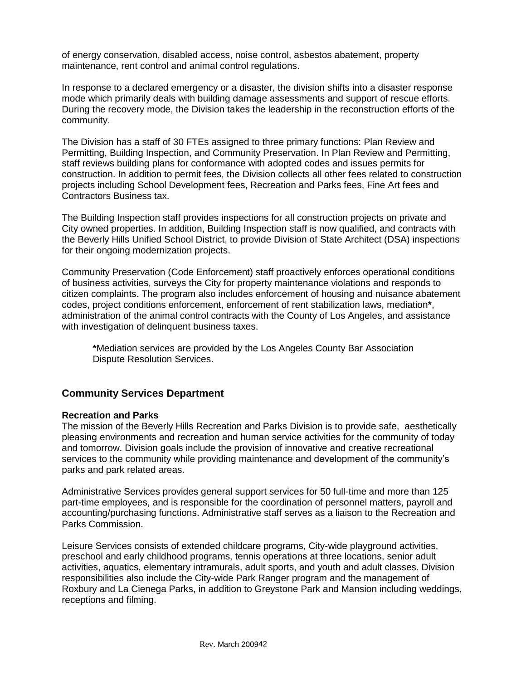of energy conservation, disabled access, noise control, asbestos abatement, property maintenance, rent control and animal control regulations.

In response to a declared emergency or a disaster, the division shifts into a disaster response mode which primarily deals with building damage assessments and support of rescue efforts. During the recovery mode, the Division takes the leadership in the reconstruction efforts of the community.

The Division has a staff of 30 FTEs assigned to three primary functions: Plan Review and Permitting, Building Inspection, and Community Preservation. In Plan Review and Permitting, staff reviews building plans for conformance with adopted codes and issues permits for construction. In addition to permit fees, the Division collects all other fees related to construction projects including School Development fees, Recreation and Parks fees, Fine Art fees and Contractors Business tax.

The Building Inspection staff provides inspections for all construction projects on private and City owned properties. In addition, Building Inspection staff is now qualified, and contracts with the Beverly Hills Unified School District, to provide Division of State Architect (DSA) inspections for their ongoing modernization projects.

Community Preservation (Code Enforcement) staff proactively enforces operational conditions of business activities, surveys the City for property maintenance violations and responds to citizen complaints. The program also includes enforcement of housing and nuisance abatement codes, project conditions enforcement, enforcement of rent stabilization laws, mediation**\***, administration of the animal control contracts with the County of Los Angeles, and assistance with investigation of delinquent business taxes.

**\***Mediation services are provided by the Los Angeles County Bar Association Dispute Resolution Services.

# **Community Services Department**

#### **Recreation and Parks**

The mission of the Beverly Hills Recreation and Parks Division is to provide safe, aesthetically pleasing environments and recreation and human service activities for the community of today and tomorrow. Division goals include the provision of innovative and creative recreational services to the community while providing maintenance and development of the community's parks and park related areas.

Administrative Services provides general support services for 50 full-time and more than 125 part-time employees, and is responsible for the coordination of personnel matters, payroll and accounting/purchasing functions. Administrative staff serves as a liaison to the Recreation and Parks Commission.

Leisure Services consists of extended childcare programs, City-wide playground activities, preschool and early childhood programs, tennis operations at three locations, senior adult activities, aquatics, elementary intramurals, adult sports, and youth and adult classes. Division responsibilities also include the City-wide Park Ranger program and the management of Roxbury and La Cienega Parks, in addition to Greystone Park and Mansion including weddings, receptions and filming.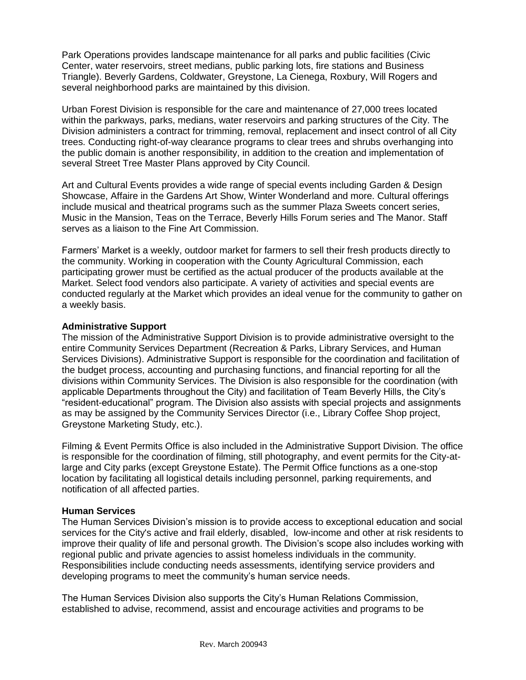Park Operations provides landscape maintenance for all parks and public facilities (Civic Center, water reservoirs, street medians, public parking lots, fire stations and Business Triangle). Beverly Gardens, Coldwater, Greystone, La Cienega, Roxbury, Will Rogers and several neighborhood parks are maintained by this division.

Urban Forest Division is responsible for the care and maintenance of 27,000 trees located within the parkways, parks, medians, water reservoirs and parking structures of the City. The Division administers a contract for trimming, removal, replacement and insect control of all City trees. Conducting right-of-way clearance programs to clear trees and shrubs overhanging into the public domain is another responsibility, in addition to the creation and implementation of several Street Tree Master Plans approved by City Council.

Art and Cultural Events provides a wide range of special events including Garden & Design Showcase, Affaire in the Gardens Art Show, Winter Wonderland and more. Cultural offerings include musical and theatrical programs such as the summer Plaza Sweets concert series, Music in the Mansion, Teas on the Terrace, Beverly Hills Forum series and The Manor. Staff serves as a liaison to the Fine Art Commission.

Farmers' Market is a weekly, outdoor market for farmers to sell their fresh products directly to the community. Working in cooperation with the County Agricultural Commission, each participating grower must be certified as the actual producer of the products available at the Market. Select food vendors also participate. A variety of activities and special events are conducted regularly at the Market which provides an ideal venue for the community to gather on a weekly basis.

### **Administrative Support**

The mission of the Administrative Support Division is to provide administrative oversight to the entire Community Services Department (Recreation & Parks, Library Services, and Human Services Divisions). Administrative Support is responsible for the coordination and facilitation of the budget process, accounting and purchasing functions, and financial reporting for all the divisions within Community Services. The Division is also responsible for the coordination (with applicable Departments throughout the City) and facilitation of Team Beverly Hills, the City's "resident-educational" program. The Division also assists with special projects and assignments as may be assigned by the Community Services Director (i.e., Library Coffee Shop project, Greystone Marketing Study, etc.).

Filming & Event Permits Office is also included in the Administrative Support Division. The office is responsible for the coordination of filming, still photography, and event permits for the City-atlarge and City parks (except Greystone Estate). The Permit Office functions as a one-stop location by facilitating all logistical details including personnel, parking requirements, and notification of all affected parties.

# **Human Services**

The Human Services Division's mission is to provide access to exceptional education and social services for the City's active and frail elderly, disabled, low-income and other at risk residents to improve their quality of life and personal growth. The Division's scope also includes working with regional public and private agencies to assist homeless individuals in the community. Responsibilities include conducting needs assessments, identifying service providers and developing programs to meet the community's human service needs.

The Human Services Division also supports the City's Human Relations Commission, established to advise, recommend, assist and encourage activities and programs to be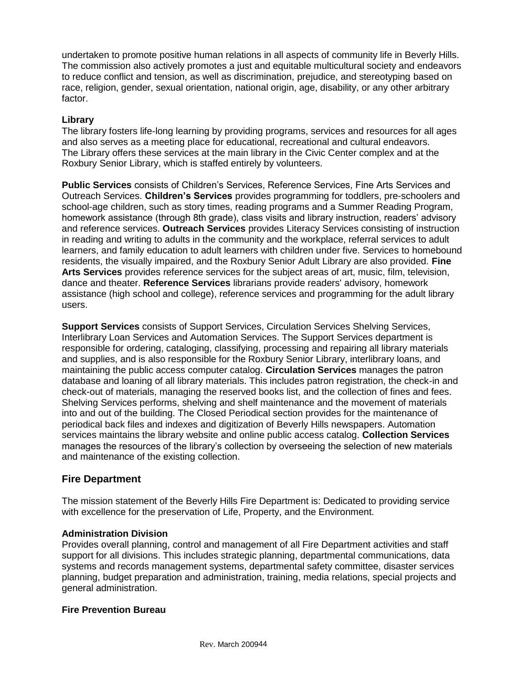undertaken to promote positive human relations in all aspects of community life in Beverly Hills. The commission also actively promotes a just and equitable multicultural society and endeavors to reduce conflict and tension, as well as discrimination, prejudice, and stereotyping based on race, religion, gender, sexual orientation, national origin, age, disability, or any other arbitrary factor.

### **Library**

The library fosters life-long learning by providing programs, services and resources for all ages and also serves as a meeting place for educational, recreational and cultural endeavors. The Library offers these services at the main library in the Civic Center complex and at the Roxbury Senior Library, which is staffed entirely by volunteers.

**Public Services** consists of Children's Services, Reference Services, Fine Arts Services and Outreach Services. **Children's Services** provides programming for toddlers, pre-schoolers and school-age children, such as story times, reading programs and a Summer Reading Program, homework assistance (through 8th grade), class visits and library instruction, readers' advisory and reference services. **Outreach Services** provides Literacy Services consisting of instruction in reading and writing to adults in the community and the workplace, referral services to adult learners, and family education to adult learners with children under five. Services to homebound residents, the visually impaired, and the Roxbury Senior Adult Library are also provided. **Fine Arts Services** provides reference services for the subject areas of art, music, film, television, dance and theater. **Reference Services** librarians provide readers' advisory, homework assistance (high school and college), reference services and programming for the adult library users.

**Support Services** consists of Support Services, Circulation Services Shelving Services, Interlibrary Loan Services and Automation Services. The Support Services department is responsible for ordering, cataloging, classifying, processing and repairing all library materials and supplies, and is also responsible for the Roxbury Senior Library, interlibrary loans, and maintaining the public access computer catalog. **Circulation Services** manages the patron database and loaning of all library materials. This includes patron registration, the check-in and check-out of materials, managing the reserved books list, and the collection of fines and fees. Shelving Services performs, shelving and shelf maintenance and the movement of materials into and out of the building. The Closed Periodical section provides for the maintenance of periodical back files and indexes and digitization of Beverly Hills newspapers. Automation services maintains the library website and online public access catalog. **Collection Services** manages the resources of the library's collection by overseeing the selection of new materials and maintenance of the existing collection.

# **Fire Department**

The mission statement of the Beverly Hills Fire Department is: Dedicated to providing service with excellence for the preservation of Life, Property, and the Environment.

#### **Administration Division**

Provides overall planning, control and management of all Fire Department activities and staff support for all divisions. This includes strategic planning, departmental communications, data systems and records management systems, departmental safety committee, disaster services planning, budget preparation and administration, training, media relations, special projects and general administration.

#### **Fire Prevention Bureau**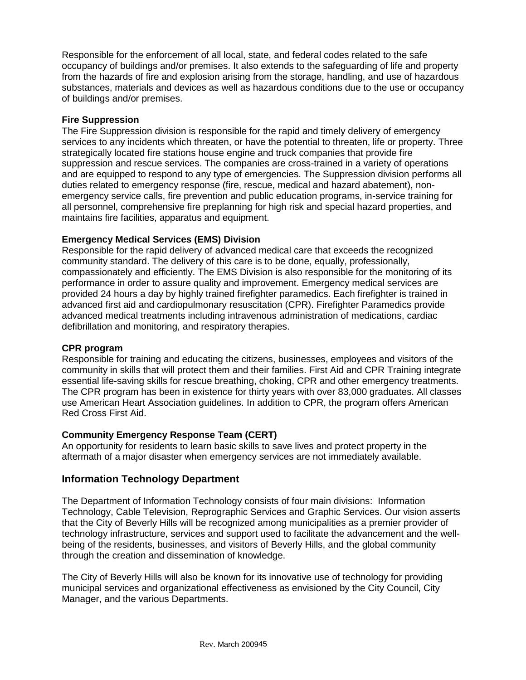Responsible for the enforcement of all local, state, and federal codes related to the safe occupancy of buildings and/or premises. It also extends to the safeguarding of life and property from the hazards of fire and explosion arising from the storage, handling, and use of hazardous substances, materials and devices as well as hazardous conditions due to the use or occupancy of buildings and/or premises.

# **Fire Suppression**

The Fire Suppression division is responsible for the rapid and timely delivery of emergency services to any incidents which threaten, or have the potential to threaten, life or property. Three strategically located fire stations house engine and truck companies that provide fire suppression and rescue services. The companies are cross-trained in a variety of operations and are equipped to respond to any type of emergencies. The Suppression division performs all duties related to emergency response (fire, rescue, medical and hazard abatement), nonemergency service calls, fire prevention and public education programs, in-service training for all personnel, comprehensive fire preplanning for high risk and special hazard properties, and maintains fire facilities, apparatus and equipment.

# **Emergency Medical Services (EMS) Division**

Responsible for the rapid delivery of advanced medical care that exceeds the recognized community standard. The delivery of this care is to be done, equally, professionally, compassionately and efficiently. The EMS Division is also responsible for the monitoring of its performance in order to assure quality and improvement. Emergency medical services are provided 24 hours a day by highly trained firefighter paramedics. Each firefighter is trained in advanced first aid and cardiopulmonary resuscitation (CPR). Firefighter Paramedics provide advanced medical treatments including intravenous administration of medications, cardiac defibrillation and monitoring, and respiratory therapies.

# **CPR program**

Responsible for training and educating the citizens, businesses, employees and visitors of the community in skills that will protect them and their families. First Aid and CPR Training integrate essential life-saving skills for rescue breathing, choking, CPR and other emergency treatments. The CPR program has been in existence for thirty years with over 83,000 graduates. All classes use American Heart Association guidelines. In addition to CPR, the program offers American Red Cross First Aid.

# **Community Emergency Response Team (CERT)**

An opportunity for residents to learn basic skills to save lives and protect property in the aftermath of a major disaster when emergency services are not immediately available.

# **Information Technology Department**

The Department of Information Technology consists of four main divisions: Information Technology, Cable Television, Reprographic Services and Graphic Services. Our vision asserts that the City of Beverly Hills will be recognized among municipalities as a premier provider of technology infrastructure, services and support used to facilitate the advancement and the wellbeing of the residents, businesses, and visitors of Beverly Hills, and the global community through the creation and dissemination of knowledge.

The City of Beverly Hills will also be known for its innovative use of technology for providing municipal services and organizational effectiveness as envisioned by the City Council, City Manager, and the various Departments.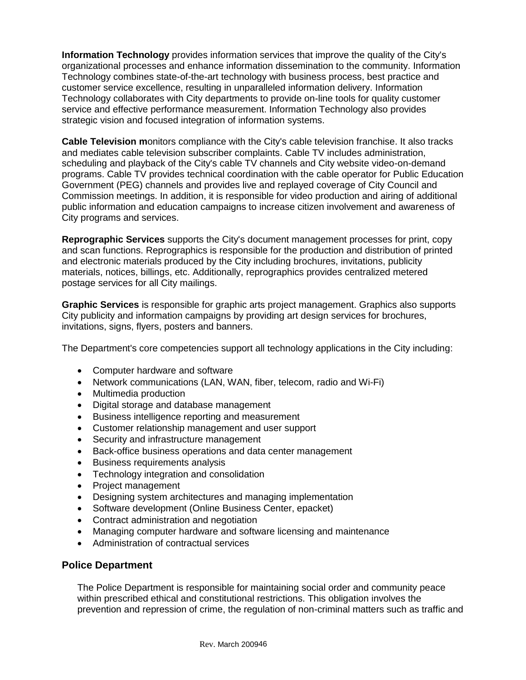**Information Technology** provides information services that improve the quality of the City's organizational processes and enhance information dissemination to the community. Information Technology combines state-of-the-art technology with business process, best practice and customer service excellence, resulting in unparalleled information delivery. Information Technology collaborates with City departments to provide on-line tools for quality customer service and effective performance measurement. Information Technology also provides strategic vision and focused integration of information systems.

**Cable Television m**onitors compliance with the City's cable television franchise. It also tracks and mediates cable television subscriber complaints. Cable TV includes administration, scheduling and playback of the City's cable TV channels and City website video-on-demand programs. Cable TV provides technical coordination with the cable operator for Public Education Government (PEG) channels and provides live and replayed coverage of City Council and Commission meetings. In addition, it is responsible for video production and airing of additional public information and education campaigns to increase citizen involvement and awareness of City programs and services.

**Reprographic Services** supports the City's document management processes for print, copy and scan functions. Reprographics is responsible for the production and distribution of printed and electronic materials produced by the City including brochures, invitations, publicity materials, notices, billings, etc. Additionally, reprographics provides centralized metered postage services for all City mailings.

**Graphic Services** is responsible for graphic arts project management. Graphics also supports City publicity and information campaigns by providing art design services for brochures, invitations, signs, flyers, posters and banners.

The Department's core competencies support all technology applications in the City including:

- Computer hardware and software
- Network communications (LAN, WAN, fiber, telecom, radio and Wi-Fi)
- Multimedia production
- Digital storage and database management
- Business intelligence reporting and measurement
- Customer relationship management and user support
- Security and infrastructure management
- Back-office business operations and data center management
- Business requirements analysis
- Technology integration and consolidation
- Project management
- Designing system architectures and managing implementation
- Software development (Online Business Center, epacket)
- Contract administration and negotiation
- Managing computer hardware and software licensing and maintenance
- Administration of contractual services

#### **Police Department**

The Police Department is responsible for maintaining social order and community peace within prescribed ethical and constitutional restrictions. This obligation involves the prevention and repression of crime, the regulation of non-criminal matters such as traffic and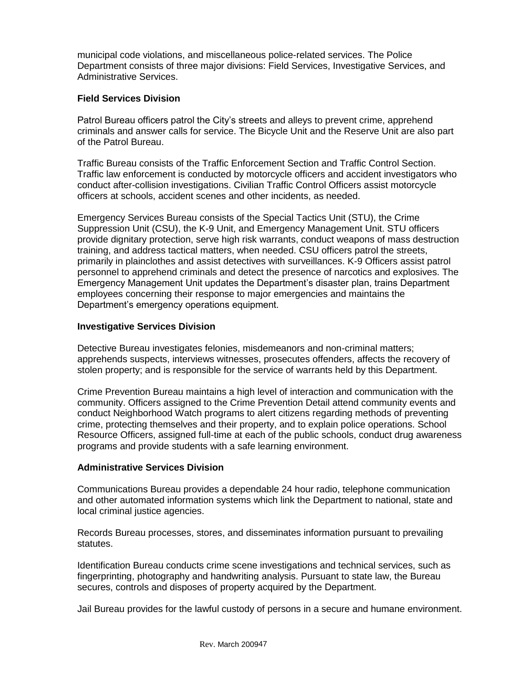municipal code violations, and miscellaneous police-related services. The Police Department consists of three major divisions: Field Services, Investigative Services, and Administrative Services.

# **Field Services Division**

Patrol Bureau officers patrol the City's streets and alleys to prevent crime, apprehend criminals and answer calls for service. The Bicycle Unit and the Reserve Unit are also part of the Patrol Bureau.

Traffic Bureau consists of the Traffic Enforcement Section and Traffic Control Section. Traffic law enforcement is conducted by motorcycle officers and accident investigators who conduct after-collision investigations. Civilian Traffic Control Officers assist motorcycle officers at schools, accident scenes and other incidents, as needed.

Emergency Services Bureau consists of the Special Tactics Unit (STU), the Crime Suppression Unit (CSU), the K-9 Unit, and Emergency Management Unit. STU officers provide dignitary protection, serve high risk warrants, conduct weapons of mass destruction training, and address tactical matters, when needed. CSU officers patrol the streets, primarily in plainclothes and assist detectives with surveillances. K-9 Officers assist patrol personnel to apprehend criminals and detect the presence of narcotics and explosives. The Emergency Management Unit updates the Department's disaster plan, trains Department employees concerning their response to major emergencies and maintains the Department's emergency operations equipment.

# **Investigative Services Division**

Detective Bureau investigates felonies, misdemeanors and non-criminal matters; apprehends suspects, interviews witnesses, prosecutes offenders, affects the recovery of stolen property; and is responsible for the service of warrants held by this Department.

Crime Prevention Bureau maintains a high level of interaction and communication with the community. Officers assigned to the Crime Prevention Detail attend community events and conduct Neighborhood Watch programs to alert citizens regarding methods of preventing crime, protecting themselves and their property, and to explain police operations. School Resource Officers, assigned full-time at each of the public schools, conduct drug awareness programs and provide students with a safe learning environment.

# **Administrative Services Division**

Communications Bureau provides a dependable 24 hour radio, telephone communication and other automated information systems which link the Department to national, state and local criminal justice agencies.

Records Bureau processes, stores, and disseminates information pursuant to prevailing statutes.

Identification Bureau conducts crime scene investigations and technical services, such as fingerprinting, photography and handwriting analysis. Pursuant to state law, the Bureau secures, controls and disposes of property acquired by the Department.

Jail Bureau provides for the lawful custody of persons in a secure and humane environment.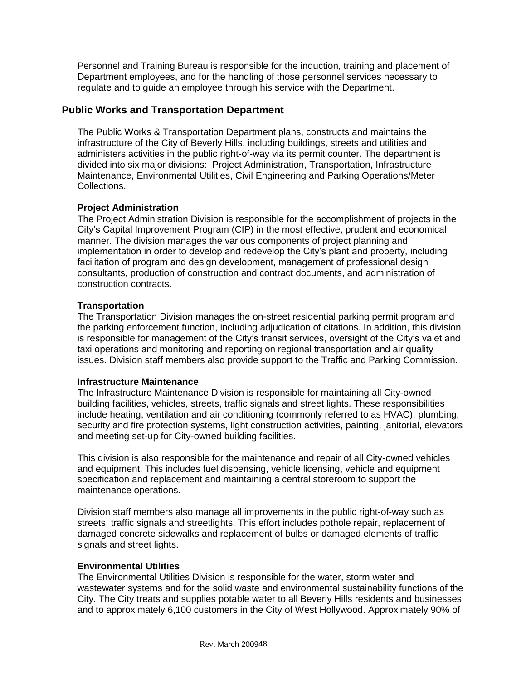Personnel and Training Bureau is responsible for the induction, training and placement of Department employees, and for the handling of those personnel services necessary to regulate and to guide an employee through his service with the Department.

# **Public Works and Transportation Department**

The Public Works & Transportation Department plans, constructs and maintains the infrastructure of the City of Beverly Hills, including buildings, streets and utilities and administers activities in the public right-of-way via its permit counter. The department is divided into six major divisions: Project Administration, Transportation, Infrastructure Maintenance, Environmental Utilities, Civil Engineering and Parking Operations/Meter Collections.

# **Project Administration**

The Project Administration Division is responsible for the accomplishment of projects in the City's Capital Improvement Program (CIP) in the most effective, prudent and economical manner. The division manages the various components of project planning and implementation in order to develop and redevelop the City's plant and property, including facilitation of program and design development, management of professional design consultants, production of construction and contract documents, and administration of construction contracts.

# **Transportation**

The Transportation Division manages the on-street residential parking permit program and the parking enforcement function, including adjudication of citations. In addition, this division is responsible for management of the City's transit services, oversight of the City's valet and taxi operations and monitoring and reporting on regional transportation and air quality issues. Division staff members also provide support to the Traffic and Parking Commission.

# **Infrastructure Maintenance**

The Infrastructure Maintenance Division is responsible for maintaining all City-owned building facilities, vehicles, streets, traffic signals and street lights. These responsibilities include heating, ventilation and air conditioning (commonly referred to as HVAC), plumbing, security and fire protection systems, light construction activities, painting, janitorial, elevators and meeting set-up for City-owned building facilities.

This division is also responsible for the maintenance and repair of all City-owned vehicles and equipment. This includes fuel dispensing, vehicle licensing, vehicle and equipment specification and replacement and maintaining a central storeroom to support the maintenance operations.

Division staff members also manage all improvements in the public right-of-way such as streets, traffic signals and streetlights. This effort includes pothole repair, replacement of damaged concrete sidewalks and replacement of bulbs or damaged elements of traffic signals and street lights.

# **Environmental Utilities**

The Environmental Utilities Division is responsible for the water, storm water and wastewater systems and for the solid waste and environmental sustainability functions of the City. The City treats and supplies potable water to all Beverly Hills residents and businesses and to approximately 6,100 customers in the City of West Hollywood. Approximately 90% of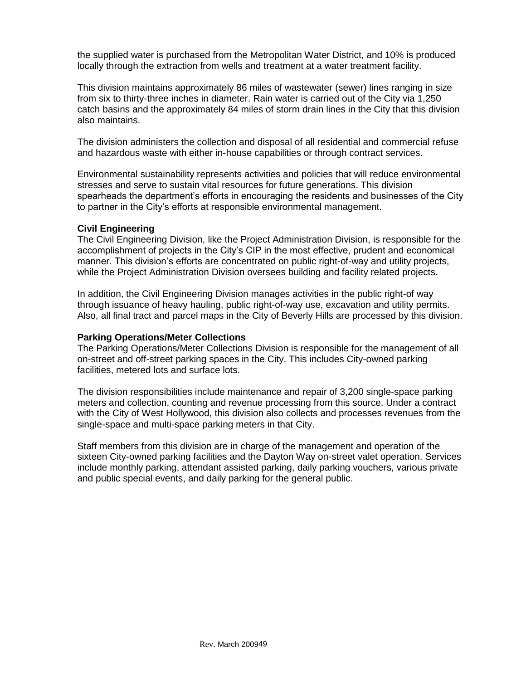the supplied water is purchased from the Metropolitan Water District, and 10% is produced locally through the extraction from wells and treatment at a water treatment facility.

This division maintains approximately 86 miles of wastewater (sewer) lines ranging in size from six to thirty-three inches in diameter. Rain water is carried out of the City via 1,250 catch basins and the approximately 84 miles of storm drain lines in the City that this division also maintains.

The division administers the collection and disposal of all residential and commercial refuse and hazardous waste with either in-house capabilities or through contract services.

Environmental sustainability represents activities and policies that will reduce environmental stresses and serve to sustain vital resources for future generations. This division spearheads the department's efforts in encouraging the residents and businesses of the City to partner in the City's efforts at responsible environmental management.

### **Civil Engineering**

The Civil Engineering Division, like the Project Administration Division, is responsible for the accomplishment of projects in the City's CIP in the most effective, prudent and economical manner. This division's efforts are concentrated on public right-of-way and utility projects, while the Project Administration Division oversees building and facility related projects.

In addition, the Civil Engineering Division manages activities in the public right-of way through issuance of heavy hauling, public right-of-way use, excavation and utility permits. Also, all final tract and parcel maps in the City of Beverly Hills are processed by this division.

### **Parking Operations/Meter Collections**

The Parking Operations/Meter Collections Division is responsible for the management of all on-street and off-street parking spaces in the City. This includes City-owned parking facilities, metered lots and surface lots.

The division responsibilities include maintenance and repair of 3,200 single-space parking meters and collection, counting and revenue processing from this source. Under a contract with the City of West Hollywood, this division also collects and processes revenues from the single-space and multi-space parking meters in that City.

Staff members from this division are in charge of the management and operation of the sixteen City-owned parking facilities and the Dayton Way on-street valet operation. Services include monthly parking, attendant assisted parking, daily parking vouchers, various private and public special events, and daily parking for the general public.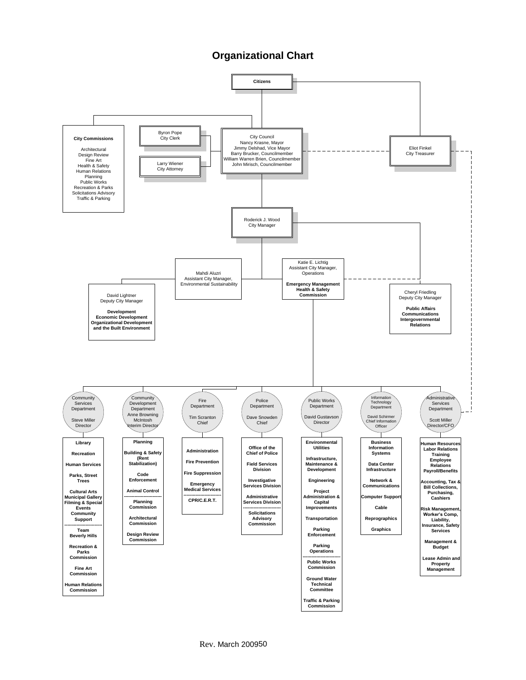# **Organizational Chart**

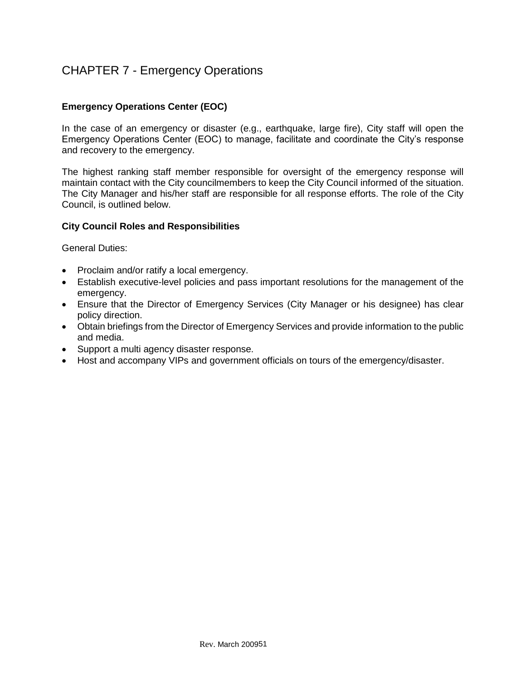# CHAPTER 7 - Emergency Operations

# **Emergency Operations Center (EOC)**

In the case of an emergency or disaster (e.g., earthquake, large fire), City staff will open the Emergency Operations Center (EOC) to manage, facilitate and coordinate the City's response and recovery to the emergency.

The highest ranking staff member responsible for oversight of the emergency response will maintain contact with the City councilmembers to keep the City Council informed of the situation. The City Manager and his/her staff are responsible for all response efforts. The role of the City Council, is outlined below.

#### **City Council Roles and Responsibilities**

General Duties:

- Proclaim and/or ratify a local emergency.
- Establish executive-level policies and pass important resolutions for the management of the emergency.
- Ensure that the Director of Emergency Services (City Manager or his designee) has clear policy direction.
- Obtain briefings from the Director of Emergency Services and provide information to the public and media.
- Support a multi agency disaster response.
- Host and accompany VIPs and government officials on tours of the emergency/disaster.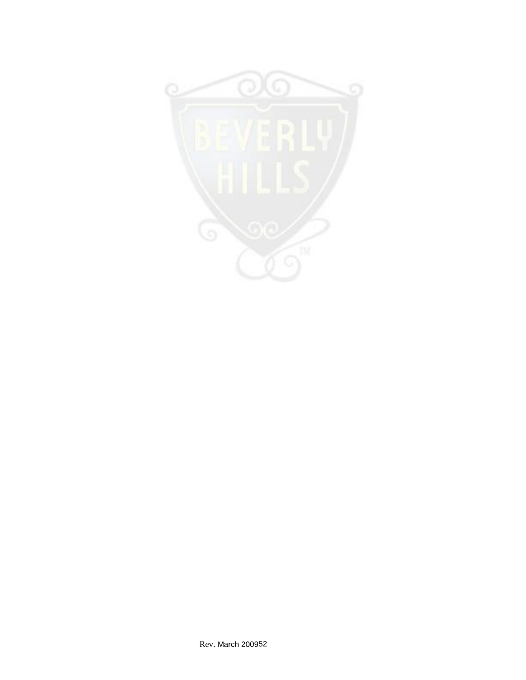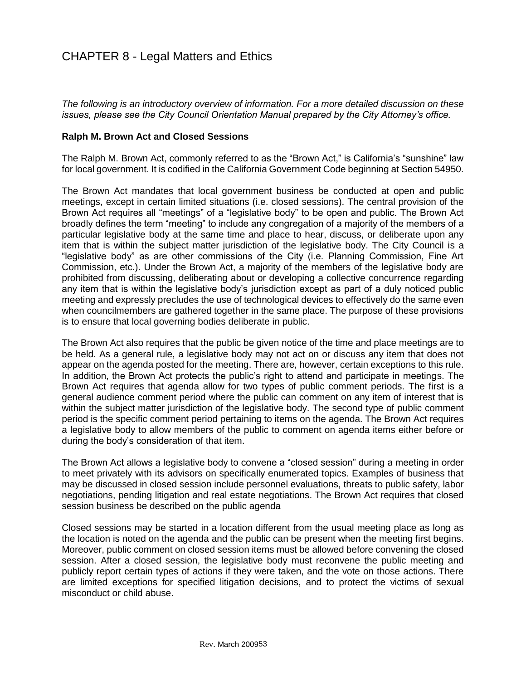# CHAPTER 8 - Legal Matters and Ethics

*The following is an introductory overview of information. For a more detailed discussion on these issues, please see the City Council Orientation Manual prepared by the City Attorney's office.* 

### **Ralph M. Brown Act and Closed Sessions**

The Ralph M. Brown Act, commonly referred to as the "Brown Act," is California's "sunshine" law for local government. It is codified in the California Government Code beginning at Section 54950.

The Brown Act mandates that local government business be conducted at open and public meetings, except in certain limited situations (i.e. closed sessions). The central provision of the Brown Act requires all "meetings" of a "legislative body" to be open and public. The Brown Act broadly defines the term "meeting" to include any congregation of a majority of the members of a particular legislative body at the same time and place to hear, discuss, or deliberate upon any item that is within the subject matter jurisdiction of the legislative body. The City Council is a "legislative body" as are other commissions of the City (i.e. Planning Commission, Fine Art Commission, etc.). Under the Brown Act, a majority of the members of the legislative body are prohibited from discussing, deliberating about or developing a collective concurrence regarding any item that is within the legislative body's jurisdiction except as part of a duly noticed public meeting and expressly precludes the use of technological devices to effectively do the same even when councilmembers are gathered together in the same place. The purpose of these provisions is to ensure that local governing bodies deliberate in public.

The Brown Act also requires that the public be given notice of the time and place meetings are to be held. As a general rule, a legislative body may not act on or discuss any item that does not appear on the agenda posted for the meeting. There are, however, certain exceptions to this rule. In addition, the Brown Act protects the public's right to attend and participate in meetings. The Brown Act requires that agenda allow for two types of public comment periods. The first is a general audience comment period where the public can comment on any item of interest that is within the subject matter jurisdiction of the legislative body. The second type of public comment period is the specific comment period pertaining to items on the agenda. The Brown Act requires a legislative body to allow members of the public to comment on agenda items either before or during the body's consideration of that item.

The Brown Act allows a legislative body to convene a "closed session" during a meeting in order to meet privately with its advisors on specifically enumerated topics. Examples of business that may be discussed in closed session include personnel evaluations, threats to public safety, labor negotiations, pending litigation and real estate negotiations. The Brown Act requires that closed session business be described on the public agenda

Closed sessions may be started in a location different from the usual meeting place as long as the location is noted on the agenda and the public can be present when the meeting first begins. Moreover, public comment on closed session items must be allowed before convening the closed session. After a closed session, the legislative body must reconvene the public meeting and publicly report certain types of actions if they were taken, and the vote on those actions. There are limited exceptions for specified litigation decisions, and to protect the victims of sexual misconduct or child abuse.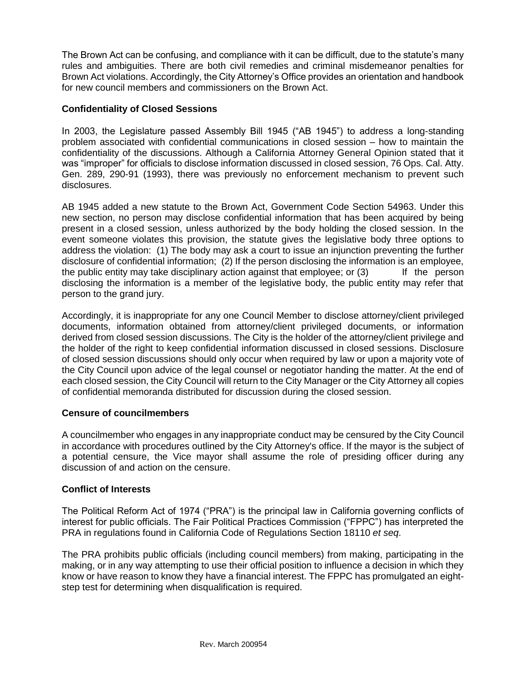The Brown Act can be confusing, and compliance with it can be difficult, due to the statute's many rules and ambiguities. There are both civil remedies and criminal misdemeanor penalties for Brown Act violations. Accordingly, the City Attorney's Office provides an orientation and handbook for new council members and commissioners on the Brown Act.

# **Confidentiality of Closed Sessions**

In 2003, the Legislature passed Assembly Bill 1945 ("AB 1945") to address a long-standing problem associated with confidential communications in closed session – how to maintain the confidentiality of the discussions. Although a California Attorney General Opinion stated that it was "improper" for officials to disclose information discussed in closed session, 76 Ops. Cal. Atty. Gen. 289, 290-91 (1993), there was previously no enforcement mechanism to prevent such disclosures.

AB 1945 added a new statute to the Brown Act, Government Code Section 54963. Under this new section, no person may disclose confidential information that has been acquired by being present in a closed session, unless authorized by the body holding the closed session. In the event someone violates this provision, the statute gives the legislative body three options to address the violation: (1) The body may ask a court to issue an injunction preventing the further disclosure of confidential information; (2) If the person disclosing the information is an employee, the public entity may take disciplinary action against that employee; or (3) If the person disclosing the information is a member of the legislative body, the public entity may refer that person to the grand jury.

Accordingly, it is inappropriate for any one Council Member to disclose attorney/client privileged documents, information obtained from attorney/client privileged documents, or information derived from closed session discussions. The City is the holder of the attorney/client privilege and the holder of the right to keep confidential information discussed in closed sessions. Disclosure of closed session discussions should only occur when required by law or upon a majority vote of the City Council upon advice of the legal counsel or negotiator handing the matter. At the end of each closed session, the City Council will return to the City Manager or the City Attorney all copies of confidential memoranda distributed for discussion during the closed session.

# **Censure of councilmembers**

A councilmember who engages in any inappropriate conduct may be censured by the City Council in accordance with procedures outlined by the City Attorney's office. If the mayor is the subject of a potential censure, the Vice mayor shall assume the role of presiding officer during any discussion of and action on the censure.

# **Conflict of Interests**

The Political Reform Act of 1974 ("PRA") is the principal law in California governing conflicts of interest for public officials. The Fair Political Practices Commission ("FPPC") has interpreted the PRA in regulations found in California Code of Regulations Section 18110 *et seq*.

The PRA prohibits public officials (including council members) from making, participating in the making, or in any way attempting to use their official position to influence a decision in which they know or have reason to know they have a financial interest. The FPPC has promulgated an eightstep test for determining when disqualification is required.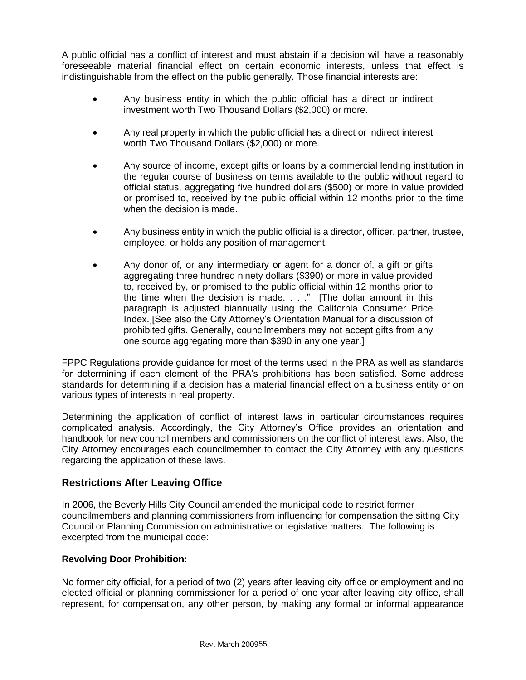A public official has a conflict of interest and must abstain if a decision will have a reasonably foreseeable material financial effect on certain economic interests, unless that effect is indistinguishable from the effect on the public generally. Those financial interests are:

- Any business entity in which the public official has a direct or indirect investment worth Two Thousand Dollars (\$2,000) or more.
- Any real property in which the public official has a direct or indirect interest worth Two Thousand Dollars (\$2,000) or more.
- Any source of income, except gifts or loans by a commercial lending institution in the regular course of business on terms available to the public without regard to official status, aggregating five hundred dollars (\$500) or more in value provided or promised to, received by the public official within 12 months prior to the time when the decision is made.
- Any business entity in which the public official is a director, officer, partner, trustee, employee, or holds any position of management.
- Any donor of, or any intermediary or agent for a donor of, a gift or gifts aggregating three hundred ninety dollars (\$390) or more in value provided to, received by, or promised to the public official within 12 months prior to the time when the decision is made. . . ." [The dollar amount in this paragraph is adjusted biannually using the California Consumer Price Index.][See also the City Attorney's Orientation Manual for a discussion of prohibited gifts. Generally, councilmembers may not accept gifts from any one source aggregating more than \$390 in any one year.]

FPPC Regulations provide guidance for most of the terms used in the PRA as well as standards for determining if each element of the PRA's prohibitions has been satisfied. Some address standards for determining if a decision has a material financial effect on a business entity or on various types of interests in real property.

Determining the application of conflict of interest laws in particular circumstances requires complicated analysis. Accordingly, the City Attorney's Office provides an orientation and handbook for new council members and commissioners on the conflict of interest laws. Also, the City Attorney encourages each councilmember to contact the City Attorney with any questions regarding the application of these laws.

# **Restrictions After Leaving Office**

In 2006, the Beverly Hills City Council amended the municipal code to restrict former councilmembers and planning commissioners from influencing for compensation the sitting City Council or Planning Commission on administrative or legislative matters. The following is excerpted from the municipal code:

# **Revolving Door Prohibition:**

No former city official, for a period of two (2) years after leaving city office or employment and no elected official or planning commissioner for a period of one year after leaving city office, shall represent, for compensation, any other person, by making any formal or informal appearance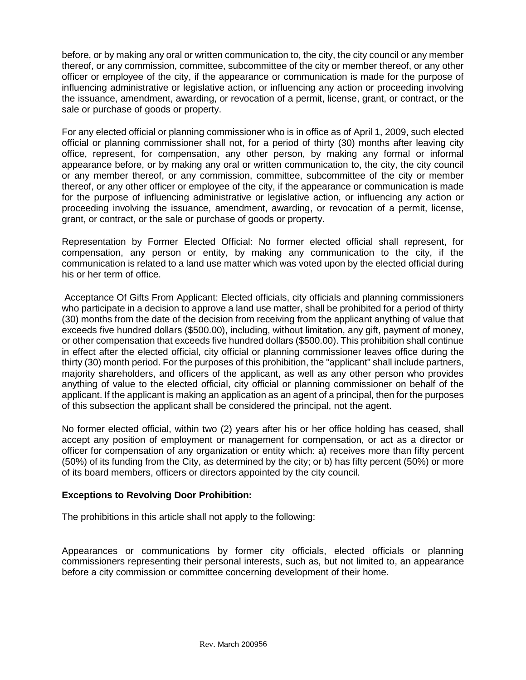before, or by making any oral or written communication to, the city, the city council or any member thereof, or any commission, committee, subcommittee of the city or member thereof, or any other officer or employee of the city, if the appearance or communication is made for the purpose of influencing administrative or legislative action, or influencing any action or proceeding involving the issuance, amendment, awarding, or revocation of a permit, license, grant, or contract, or the sale or purchase of goods or property.

For any elected official or planning commissioner who is in office as of April 1, 2009, such elected official or planning commissioner shall not, for a period of thirty (30) months after leaving city office, represent, for compensation, any other person, by making any formal or informal appearance before, or by making any oral or written communication to, the city, the city council or any member thereof, or any commission, committee, subcommittee of the city or member thereof, or any other officer or employee of the city, if the appearance or communication is made for the purpose of influencing administrative or legislative action, or influencing any action or proceeding involving the issuance, amendment, awarding, or revocation of a permit, license, grant, or contract, or the sale or purchase of goods or property.

Representation by Former Elected Official: No former elected official shall represent, for compensation, any person or entity, by making any communication to the city, if the communication is related to a land use matter which was voted upon by the elected official during his or her term of office.

Acceptance Of Gifts From Applicant: Elected officials, city officials and planning commissioners who participate in a decision to approve a land use matter, shall be prohibited for a period of thirty (30) months from the date of the decision from receiving from the applicant anything of value that exceeds five hundred dollars (\$500.00), including, without limitation, any gift, payment of money, or other compensation that exceeds five hundred dollars (\$500.00). This prohibition shall continue in effect after the elected official, city official or planning commissioner leaves office during the thirty (30) month period. For the purposes of this prohibition, the "applicant" shall include partners, majority shareholders, and officers of the applicant, as well as any other person who provides anything of value to the elected official, city official or planning commissioner on behalf of the applicant. If the applicant is making an application as an agent of a principal, then for the purposes of this subsection the applicant shall be considered the principal, not the agent.

No former elected official, within two (2) years after his or her office holding has ceased, shall accept any position of employment or management for compensation, or act as a director or officer for compensation of any organization or entity which: a) receives more than fifty percent (50%) of its funding from the City, as determined by the city; or b) has fifty percent (50%) or more of its board members, officers or directors appointed by the city council.

# **Exceptions to Revolving Door Prohibition:**

The prohibitions in this article shall not apply to the following:

Appearances or communications by former city officials, elected officials or planning commissioners representing their personal interests, such as, but not limited to, an appearance before a city commission or committee concerning development of their home.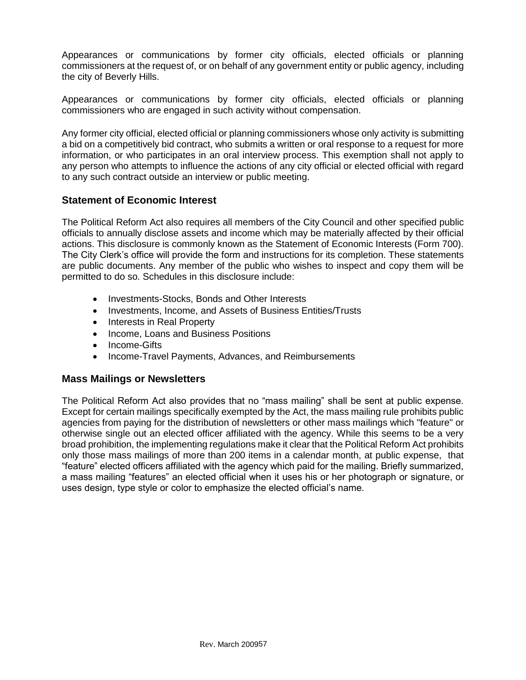Appearances or communications by former city officials, elected officials or planning commissioners at the request of, or on behalf of any government entity or public agency, including the city of Beverly Hills.

Appearances or communications by former city officials, elected officials or planning commissioners who are engaged in such activity without compensation.

Any former city official, elected official or planning commissioners whose only activity is submitting a bid on a competitively bid contract, who submits a written or oral response to a request for more information, or who participates in an oral interview process. This exemption shall not apply to any person who attempts to influence the actions of any city official or elected official with regard to any such contract outside an interview or public meeting.

# **Statement of Economic Interest**

The Political Reform Act also requires all members of the City Council and other specified public officials to annually disclose assets and income which may be materially affected by their official actions. This disclosure is commonly known as the Statement of Economic Interests (Form 700). The City Clerk's office will provide the form and instructions for its completion. These statements are public documents. Any member of the public who wishes to inspect and copy them will be permitted to do so. Schedules in this disclosure include:

- Investments-Stocks, Bonds and Other Interests
- Investments, Income, and Assets of Business Entities/Trusts
- Interests in Real Property
- Income, Loans and Business Positions
- Income-Gifts
- Income-Travel Payments, Advances, and Reimbursements

# **Mass Mailings or Newsletters**

The Political Reform Act also provides that no "mass mailing" shall be sent at public expense. Except for certain mailings specifically exempted by the Act, the mass mailing rule prohibits public agencies from paying for the distribution of newsletters or other mass mailings which "feature" or otherwise single out an elected officer affiliated with the agency. While this seems to be a very broad prohibition, the implementing regulations make it clear that the Political Reform Act prohibits only those mass mailings of more than 200 items in a calendar month, at public expense, that "feature" elected officers affiliated with the agency which paid for the mailing. Briefly summarized, a mass mailing "features" an elected official when it uses his or her photograph or signature, or uses design, type style or color to emphasize the elected official's name.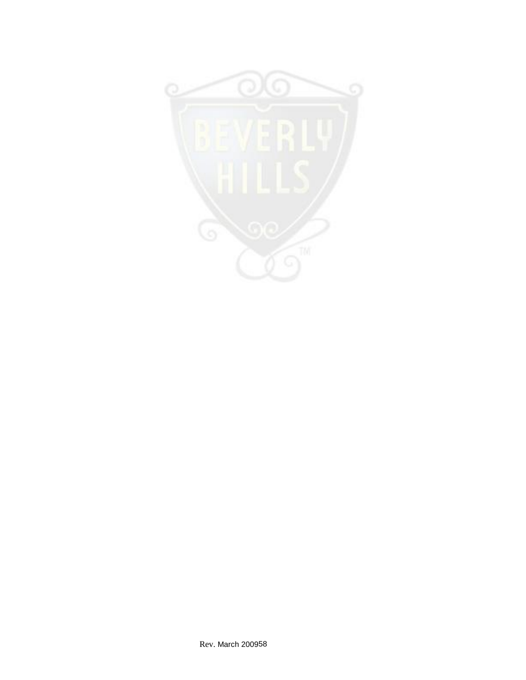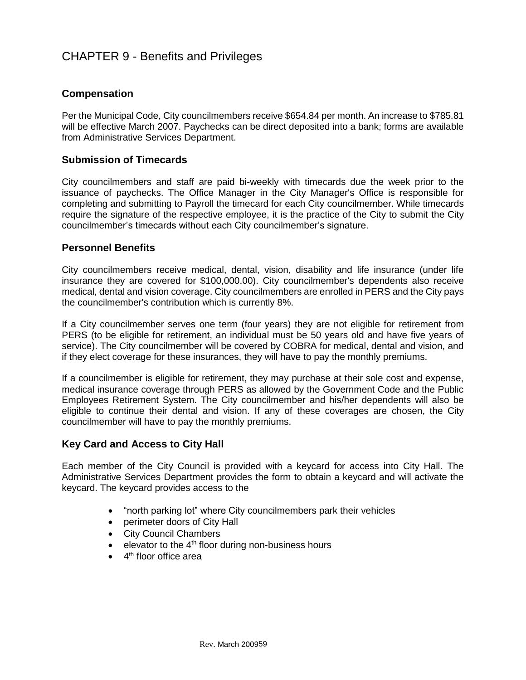# **Compensation**

Per the Municipal Code, City councilmembers receive \$654.84 per month. An increase to \$785.81 will be effective March 2007. Paychecks can be direct deposited into a bank; forms are available from Administrative Services Department.

# **Submission of Timecards**

City councilmembers and staff are paid bi-weekly with timecards due the week prior to the issuance of paychecks. The Office Manager in the City Manager's Office is responsible for completing and submitting to Payroll the timecard for each City councilmember. While timecards require the signature of the respective employee, it is the practice of the City to submit the City councilmember's timecards without each City councilmember's signature.

# **Personnel Benefits**

City councilmembers receive medical, dental, vision, disability and life insurance (under life insurance they are covered for \$100,000.00). City councilmember's dependents also receive medical, dental and vision coverage. City councilmembers are enrolled in PERS and the City pays the councilmember's contribution which is currently 8%.

If a City councilmember serves one term (four years) they are not eligible for retirement from PERS (to be eligible for retirement, an individual must be 50 years old and have five years of service). The City councilmember will be covered by COBRA for medical, dental and vision, and if they elect coverage for these insurances, they will have to pay the monthly premiums.

If a councilmember is eligible for retirement, they may purchase at their sole cost and expense, medical insurance coverage through PERS as allowed by the Government Code and the Public Employees Retirement System. The City councilmember and his/her dependents will also be eligible to continue their dental and vision. If any of these coverages are chosen, the City councilmember will have to pay the monthly premiums.

# **Key Card and Access to City Hall**

Each member of the City Council is provided with a keycard for access into City Hall. The Administrative Services Department provides the form to obtain a keycard and will activate the keycard. The keycard provides access to the

- "north parking lot" where City councilmembers park their vehicles
- perimeter doors of City Hall
- City Council Chambers
- elevator to the  $4<sup>th</sup>$  floor during non-business hours
- 4<sup>th</sup> floor office area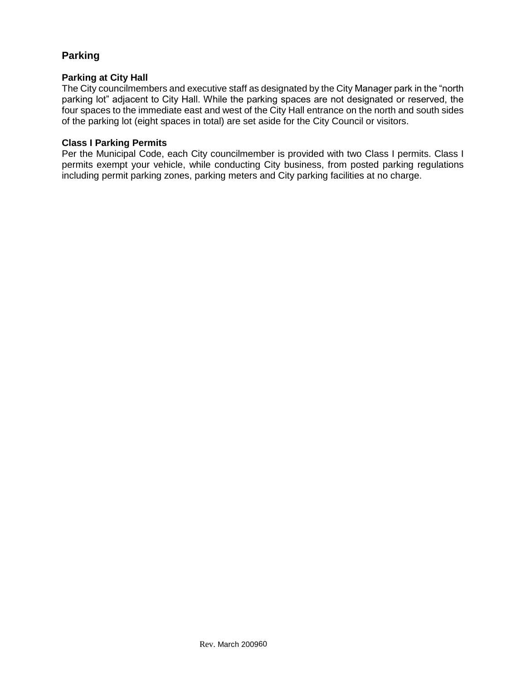# **Parking**

### **Parking at City Hall**

The City councilmembers and executive staff as designated by the City Manager park in the "north parking lot" adjacent to City Hall. While the parking spaces are not designated or reserved, the four spaces to the immediate east and west of the City Hall entrance on the north and south sides of the parking lot (eight spaces in total) are set aside for the City Council or visitors.

#### **Class I Parking Permits**

Per the Municipal Code, each City councilmember is provided with two Class I permits. Class I permits exempt your vehicle, while conducting City business, from posted parking regulations including permit parking zones, parking meters and City parking facilities at no charge.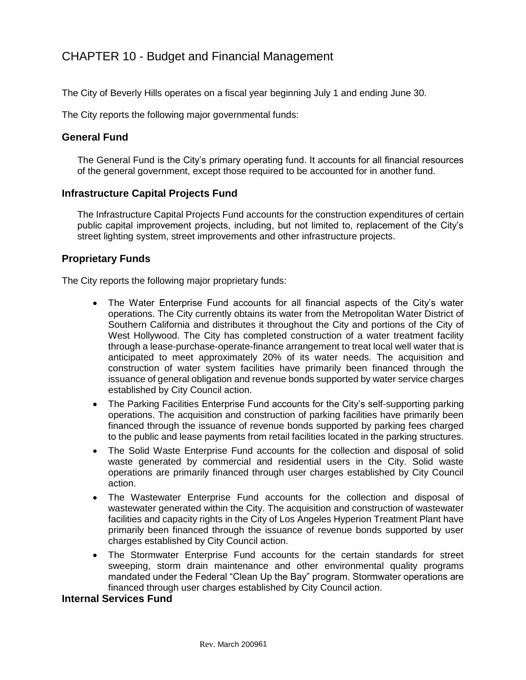# CHAPTER 10 - Budget and Financial Management

The City of Beverly Hills operates on a fiscal year beginning July 1 and ending June 30.

The City reports the following major governmental funds:

# **General Fund**

The General Fund is the City's primary operating fund. It accounts for all financial resources of the general government, except those required to be accounted for in another fund.

### **Infrastructure Capital Projects Fund**

The Infrastructure Capital Projects Fund accounts for the construction expenditures of certain public capital improvement projects, including, but not limited to, replacement of the City's street lighting system, street improvements and other infrastructure projects.

# **Proprietary Funds**

The City reports the following major proprietary funds:

- The Water Enterprise Fund accounts for all financial aspects of the City's water operations. The City currently obtains its water from the Metropolitan Water District of Southern California and distributes it throughout the City and portions of the City of West Hollywood. The City has completed construction of a water treatment facility through a lease-purchase-operate-finance arrangement to treat local well water that is anticipated to meet approximately 20% of its water needs. The acquisition and construction of water system facilities have primarily been financed through the issuance of general obligation and revenue bonds supported by water service charges established by City Council action.
- The Parking Facilities Enterprise Fund accounts for the City's self-supporting parking operations. The acquisition and construction of parking facilities have primarily been financed through the issuance of revenue bonds supported by parking fees charged to the public and lease payments from retail facilities located in the parking structures.
- The Solid Waste Enterprise Fund accounts for the collection and disposal of solid waste generated by commercial and residential users in the City. Solid waste operations are primarily financed through user charges established by City Council action.
- The Wastewater Enterprise Fund accounts for the collection and disposal of wastewater generated within the City. The acquisition and construction of wastewater facilities and capacity rights in the City of Los Angeles Hyperion Treatment Plant have primarily been financed through the issuance of revenue bonds supported by user charges established by City Council action.
- The Stormwater Enterprise Fund accounts for the certain standards for street sweeping, storm drain maintenance and other environmental quality programs mandated under the Federal "Clean Up the Bay" program. Stormwater operations are financed through user charges established by City Council action.

# **Internal Services Fund**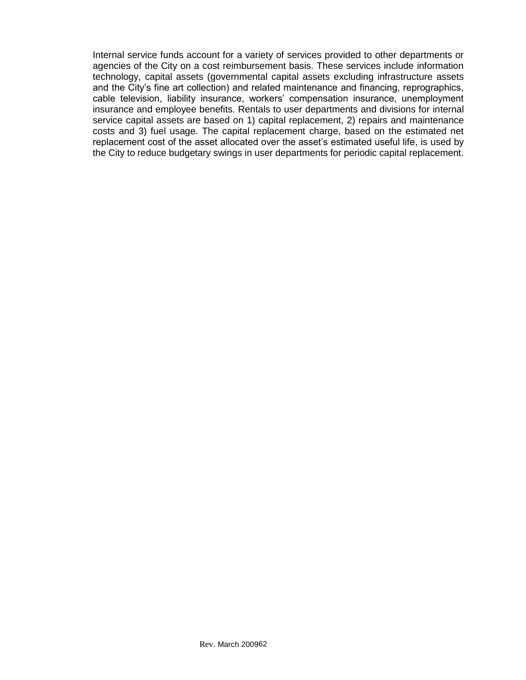Internal service funds account for a variety of services provided to other departments or agencies of the City on a cost reimbursement basis. These services include information technology, capital assets (governmental capital assets excluding infrastructure assets and the City's fine art collection) and related maintenance and financing, reprographics, cable television, liability insurance, workers' compensation insurance, unemployment insurance and employee benefits. Rentals to user departments and divisions for internal service capital assets are based on 1) capital replacement, 2) repairs and maintenance costs and 3) fuel usage. The capital replacement charge, based on the estimated net replacement cost of the asset allocated over the asset's estimated useful life, is used by the City to reduce budgetary swings in user departments for periodic capital replacement.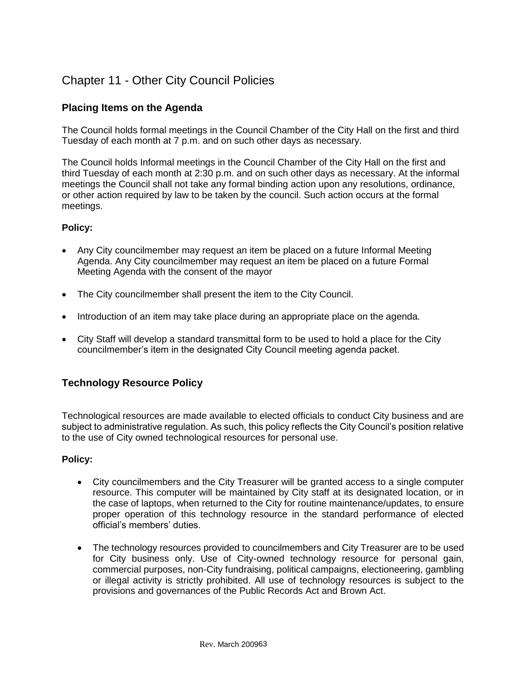# Chapter 11 - Other City Council Policies

# **Placing Items on the Agenda**

The Council holds formal meetings in the Council Chamber of the City Hall on the first and third Tuesday of each month at 7 p.m. and on such other days as necessary.

The Council holds Informal meetings in the Council Chamber of the City Hall on the first and third Tuesday of each month at 2:30 p.m. and on such other days as necessary. At the informal meetings the Council shall not take any formal binding action upon any resolutions, ordinance, or other action required by law to be taken by the council. Such action occurs at the formal meetings.

# **Policy:**

- Any City councilmember may request an item be placed on a future Informal Meeting Agenda. Any City councilmember may request an item be placed on a future Formal Meeting Agenda with the consent of the mayor
- The City councilmember shall present the item to the City Council.
- Introduction of an item may take place during an appropriate place on the agenda.
- City Staff will develop a standard transmittal form to be used to hold a place for the City councilmember's item in the designated City Council meeting agenda packet.

# **Technology Resource Policy**

Technological resources are made available to elected officials to conduct City business and are subject to administrative regulation. As such, this policy reflects the City Council's position relative to the use of City owned technological resources for personal use.

### **Policy:**

- City councilmembers and the City Treasurer will be granted access to a single computer resource. This computer will be maintained by City staff at its designated location, or in the case of laptops, when returned to the City for routine maintenance/updates, to ensure proper operation of this technology resource in the standard performance of elected official's members' duties.
- The technology resources provided to councilmembers and City Treasurer are to be used for City business only. Use of City-owned technology resource for personal gain, commercial purposes, non-City fundraising, political campaigns, electioneering, gambling or illegal activity is strictly prohibited. All use of technology resources is subject to the provisions and governances of the Public Records Act and Brown Act.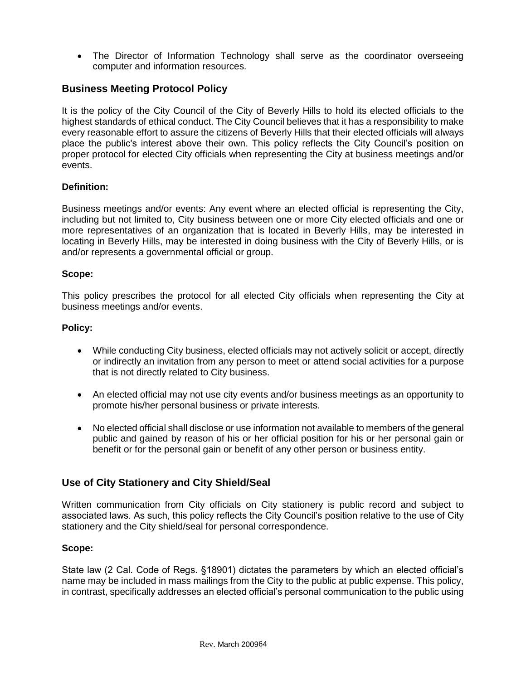• The Director of Information Technology shall serve as the coordinator overseeing computer and information resources.

# **Business Meeting Protocol Policy**

It is the policy of the City Council of the City of Beverly Hills to hold its elected officials to the highest standards of ethical conduct. The City Council believes that it has a responsibility to make every reasonable effort to assure the citizens of Beverly Hills that their elected officials will always place the public's interest above their own. This policy reflects the City Council's position on proper protocol for elected City officials when representing the City at business meetings and/or events.

# **Definition:**

Business meetings and/or events: Any event where an elected official is representing the City, including but not limited to, City business between one or more City elected officials and one or more representatives of an organization that is located in Beverly Hills, may be interested in locating in Beverly Hills, may be interested in doing business with the City of Beverly Hills, or is and/or represents a governmental official or group.

#### **Scope:**

This policy prescribes the protocol for all elected City officials when representing the City at business meetings and/or events.

### **Policy:**

- While conducting City business, elected officials may not actively solicit or accept, directly or indirectly an invitation from any person to meet or attend social activities for a purpose that is not directly related to City business.
- An elected official may not use city events and/or business meetings as an opportunity to promote his/her personal business or private interests.
- No elected official shall disclose or use information not available to members of the general public and gained by reason of his or her official position for his or her personal gain or benefit or for the personal gain or benefit of any other person or business entity.

# **Use of City Stationery and City Shield/Seal**

Written communication from City officials on City stationery is public record and subject to associated laws. As such, this policy reflects the City Council's position relative to the use of City stationery and the City shield/seal for personal correspondence.

#### **Scope:**

State law (2 Cal. Code of Regs. §18901) dictates the parameters by which an elected official's name may be included in mass mailings from the City to the public at public expense. This policy, in contrast, specifically addresses an elected official's personal communication to the public using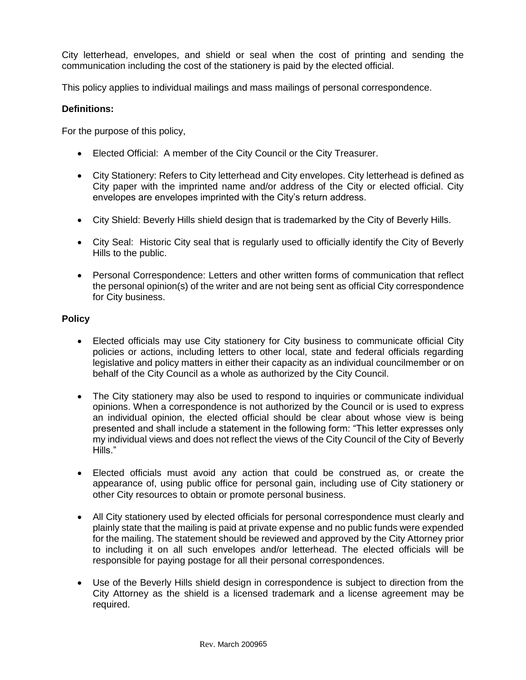City letterhead, envelopes, and shield or seal when the cost of printing and sending the communication including the cost of the stationery is paid by the elected official.

This policy applies to individual mailings and mass mailings of personal correspondence.

# **Definitions:**

For the purpose of this policy,

- Elected Official: A member of the City Council or the City Treasurer.
- City Stationery: Refers to City letterhead and City envelopes. City letterhead is defined as City paper with the imprinted name and/or address of the City or elected official. City envelopes are envelopes imprinted with the City's return address.
- City Shield: Beverly Hills shield design that is trademarked by the City of Beverly Hills.
- City Seal: Historic City seal that is regularly used to officially identify the City of Beverly Hills to the public.
- Personal Correspondence: Letters and other written forms of communication that reflect the personal opinion(s) of the writer and are not being sent as official City correspondence for City business.

# **Policy**

- Elected officials may use City stationery for City business to communicate official City policies or actions, including letters to other local, state and federal officials regarding legislative and policy matters in either their capacity as an individual councilmember or on behalf of the City Council as a whole as authorized by the City Council.
- The City stationery may also be used to respond to inquiries or communicate individual opinions. When a correspondence is not authorized by the Council or is used to express an individual opinion, the elected official should be clear about whose view is being presented and shall include a statement in the following form: "This letter expresses only my individual views and does not reflect the views of the City Council of the City of Beverly Hills."
- Elected officials must avoid any action that could be construed as, or create the appearance of, using public office for personal gain, including use of City stationery or other City resources to obtain or promote personal business.
- All City stationery used by elected officials for personal correspondence must clearly and plainly state that the mailing is paid at private expense and no public funds were expended for the mailing. The statement should be reviewed and approved by the City Attorney prior to including it on all such envelopes and/or letterhead. The elected officials will be responsible for paying postage for all their personal correspondences.
- Use of the Beverly Hills shield design in correspondence is subject to direction from the City Attorney as the shield is a licensed trademark and a license agreement may be required.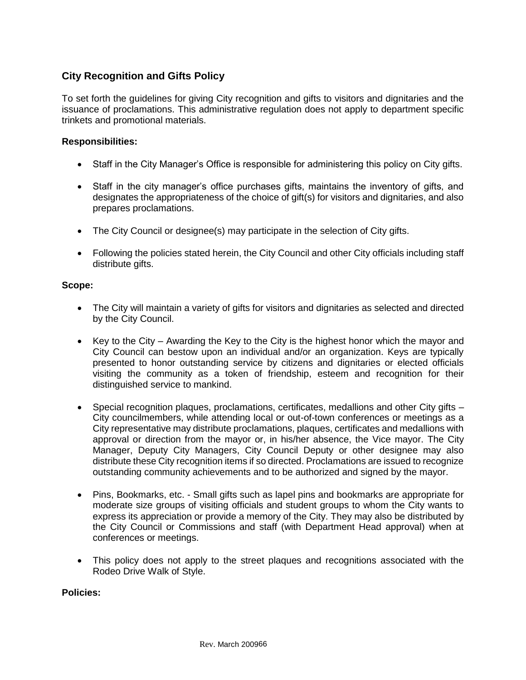# **City Recognition and Gifts Policy**

To set forth the guidelines for giving City recognition and gifts to visitors and dignitaries and the issuance of proclamations. This administrative regulation does not apply to department specific trinkets and promotional materials.

### **Responsibilities:**

- Staff in the City Manager's Office is responsible for administering this policy on City gifts.
- Staff in the city manager's office purchases gifts, maintains the inventory of gifts, and designates the appropriateness of the choice of gift(s) for visitors and dignitaries, and also prepares proclamations.
- The City Council or designee(s) may participate in the selection of City gifts.
- Following the policies stated herein, the City Council and other City officials including staff distribute gifts.

#### **Scope:**

- The City will maintain a variety of gifts for visitors and dignitaries as selected and directed by the City Council.
- Key to the City Awarding the Key to the City is the highest honor which the mayor and City Council can bestow upon an individual and/or an organization. Keys are typically presented to honor outstanding service by citizens and dignitaries or elected officials visiting the community as a token of friendship, esteem and recognition for their distinguished service to mankind.
- Special recognition plaques, proclamations, certificates, medallions and other City gifts City councilmembers, while attending local or out-of-town conferences or meetings as a City representative may distribute proclamations, plaques, certificates and medallions with approval or direction from the mayor or, in his/her absence, the Vice mayor. The City Manager, Deputy City Managers, City Council Deputy or other designee may also distribute these City recognition items if so directed. Proclamations are issued to recognize outstanding community achievements and to be authorized and signed by the mayor.
- Pins, Bookmarks, etc. Small gifts such as lapel pins and bookmarks are appropriate for moderate size groups of visiting officials and student groups to whom the City wants to express its appreciation or provide a memory of the City. They may also be distributed by the City Council or Commissions and staff (with Department Head approval) when at conferences or meetings.
- This policy does not apply to the street plaques and recognitions associated with the Rodeo Drive Walk of Style.

#### **Policies:**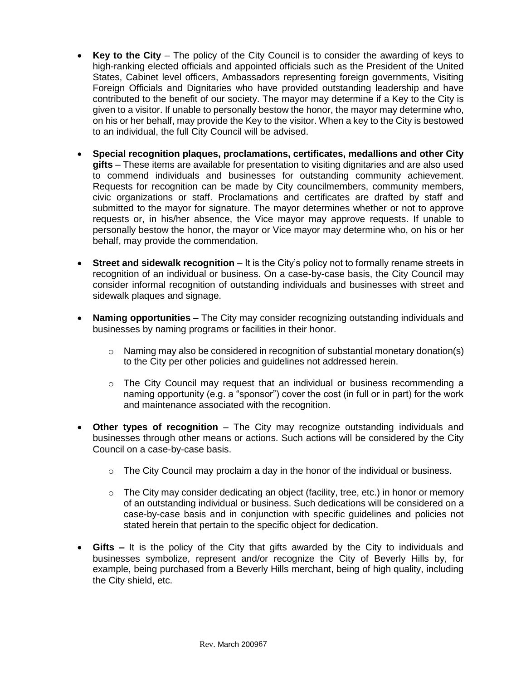- **Key to the City** The policy of the City Council is to consider the awarding of keys to high-ranking elected officials and appointed officials such as the President of the United States, Cabinet level officers, Ambassadors representing foreign governments, Visiting Foreign Officials and Dignitaries who have provided outstanding leadership and have contributed to the benefit of our society. The mayor may determine if a Key to the City is given to a visitor. If unable to personally bestow the honor, the mayor may determine who, on his or her behalf, may provide the Key to the visitor. When a key to the City is bestowed to an individual, the full City Council will be advised.
- **Special recognition plaques, proclamations, certificates, medallions and other City gifts** – These items are available for presentation to visiting dignitaries and are also used to commend individuals and businesses for outstanding community achievement. Requests for recognition can be made by City councilmembers, community members, civic organizations or staff. Proclamations and certificates are drafted by staff and submitted to the mayor for signature. The mayor determines whether or not to approve requests or, in his/her absence, the Vice mayor may approve requests. If unable to personally bestow the honor, the mayor or Vice mayor may determine who, on his or her behalf, may provide the commendation.
- **Street and sidewalk recognition** It is the City's policy not to formally rename streets in recognition of an individual or business. On a case-by-case basis, the City Council may consider informal recognition of outstanding individuals and businesses with street and sidewalk plaques and signage.
- **Naming opportunities** The City may consider recognizing outstanding individuals and businesses by naming programs or facilities in their honor.
	- $\circ$  Naming may also be considered in recognition of substantial monetary donation(s) to the City per other policies and guidelines not addressed herein.
	- $\circ$  The City Council may request that an individual or business recommending a naming opportunity (e.g. a "sponsor") cover the cost (in full or in part) for the work and maintenance associated with the recognition.
- **Other types of recognition** The City may recognize outstanding individuals and businesses through other means or actions. Such actions will be considered by the City Council on a case-by-case basis.
	- $\circ$  The City Council may proclaim a day in the honor of the individual or business.
	- $\circ$  The City may consider dedicating an object (facility, tree, etc.) in honor or memory of an outstanding individual or business. Such dedications will be considered on a case-by-case basis and in conjunction with specific guidelines and policies not stated herein that pertain to the specific object for dedication.
- **Gifts –** It is the policy of the City that gifts awarded by the City to individuals and businesses symbolize, represent and/or recognize the City of Beverly Hills by, for example, being purchased from a Beverly Hills merchant, being of high quality, including the City shield, etc.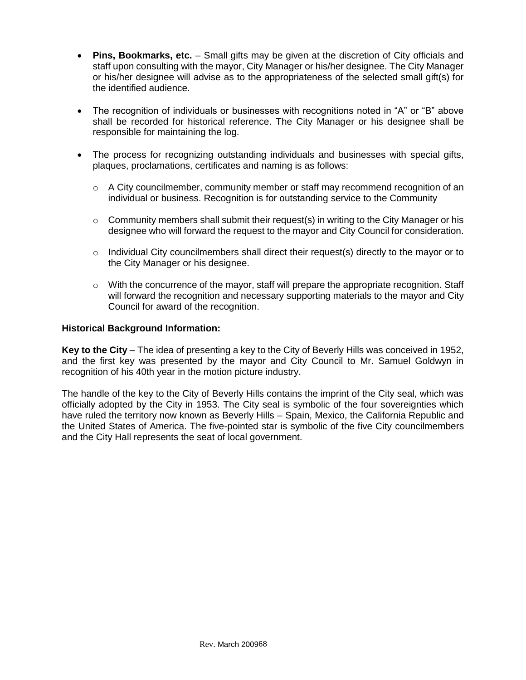- **Pins, Bookmarks, etc.** Small gifts may be given at the discretion of City officials and staff upon consulting with the mayor, City Manager or his/her designee. The City Manager or his/her designee will advise as to the appropriateness of the selected small gift(s) for the identified audience.
- The recognition of individuals or businesses with recognitions noted in "A" or "B" above shall be recorded for historical reference. The City Manager or his designee shall be responsible for maintaining the log.
- The process for recognizing outstanding individuals and businesses with special gifts, plaques, proclamations, certificates and naming is as follows:
	- $\circ$  A City councilmember, community member or staff may recommend recognition of an individual or business. Recognition is for outstanding service to the Community
	- $\circ$  Community members shall submit their request(s) in writing to the City Manager or his designee who will forward the request to the mayor and City Council for consideration.
	- $\circ$  Individual City councilmembers shall direct their request(s) directly to the mayor or to the City Manager or his designee.
	- o With the concurrence of the mayor, staff will prepare the appropriate recognition. Staff will forward the recognition and necessary supporting materials to the mayor and City Council for award of the recognition.

### **Historical Background Information:**

**Key to the City** – The idea of presenting a key to the City of Beverly Hills was conceived in 1952, and the first key was presented by the mayor and City Council to Mr. Samuel Goldwyn in recognition of his 40th year in the motion picture industry.

The handle of the key to the City of Beverly Hills contains the imprint of the City seal, which was officially adopted by the City in 1953. The City seal is symbolic of the four sovereignties which have ruled the territory now known as Beverly Hills – Spain, Mexico, the California Republic and the United States of America. The five-pointed star is symbolic of the five City councilmembers and the City Hall represents the seat of local government.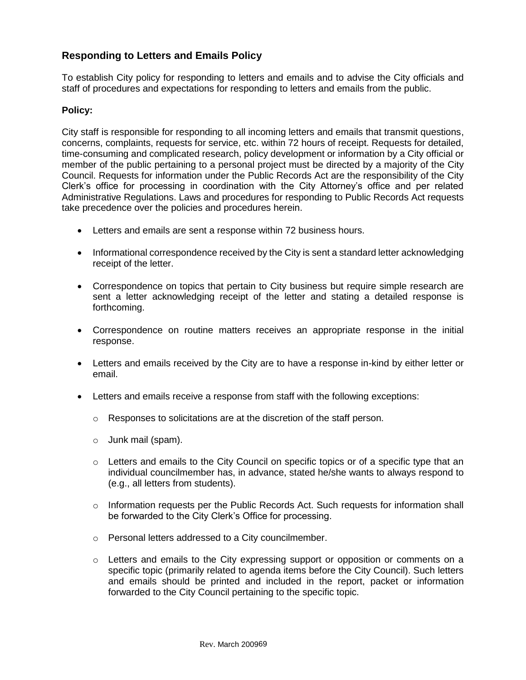# **Responding to Letters and Emails Policy**

To establish City policy for responding to letters and emails and to advise the City officials and staff of procedures and expectations for responding to letters and emails from the public.

### **Policy:**

City staff is responsible for responding to all incoming letters and emails that transmit questions, concerns, complaints, requests for service, etc. within 72 hours of receipt. Requests for detailed, time-consuming and complicated research, policy development or information by a City official or member of the public pertaining to a personal project must be directed by a majority of the City Council. Requests for information under the Public Records Act are the responsibility of the City Clerk's office for processing in coordination with the City Attorney's office and per related Administrative Regulations. Laws and procedures for responding to Public Records Act requests take precedence over the policies and procedures herein.

- Letters and emails are sent a response within 72 business hours.
- Informational correspondence received by the City is sent a standard letter acknowledging receipt of the letter.
- Correspondence on topics that pertain to City business but require simple research are sent a letter acknowledging receipt of the letter and stating a detailed response is forthcoming.
- Correspondence on routine matters receives an appropriate response in the initial response.
- Letters and emails received by the City are to have a response in-kind by either letter or email.
- Letters and emails receive a response from staff with the following exceptions:
	- o Responses to solicitations are at the discretion of the staff person.
	- o Junk mail (spam).
	- $\circ$  Letters and emails to the City Council on specific topics or of a specific type that an individual councilmember has, in advance, stated he/she wants to always respond to (e.g., all letters from students).
	- $\circ$  Information requests per the Public Records Act. Such requests for information shall be forwarded to the City Clerk's Office for processing.
	- o Personal letters addressed to a City councilmember.
	- $\circ$  Letters and emails to the City expressing support or opposition or comments on a specific topic (primarily related to agenda items before the City Council). Such letters and emails should be printed and included in the report, packet or information forwarded to the City Council pertaining to the specific topic.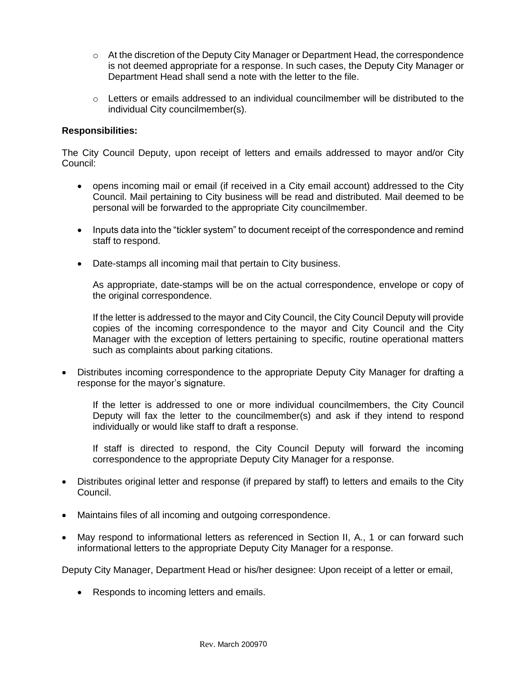- $\circ$  At the discretion of the Deputy City Manager or Department Head, the correspondence is not deemed appropriate for a response. In such cases, the Deputy City Manager or Department Head shall send a note with the letter to the file.
- $\circ$  Letters or emails addressed to an individual councilmember will be distributed to the individual City councilmember(s).

### **Responsibilities:**

The City Council Deputy, upon receipt of letters and emails addressed to mayor and/or City Council:

- opens incoming mail or email (if received in a City email account) addressed to the City Council. Mail pertaining to City business will be read and distributed. Mail deemed to be personal will be forwarded to the appropriate City councilmember.
- Inputs data into the "tickler system" to document receipt of the correspondence and remind staff to respond.
- Date-stamps all incoming mail that pertain to City business.

As appropriate, date-stamps will be on the actual correspondence, envelope or copy of the original correspondence.

If the letter is addressed to the mayor and City Council, the City Council Deputy will provide copies of the incoming correspondence to the mayor and City Council and the City Manager with the exception of letters pertaining to specific, routine operational matters such as complaints about parking citations.

 Distributes incoming correspondence to the appropriate Deputy City Manager for drafting a response for the mayor's signature.

If the letter is addressed to one or more individual councilmembers, the City Council Deputy will fax the letter to the councilmember(s) and ask if they intend to respond individually or would like staff to draft a response.

If staff is directed to respond, the City Council Deputy will forward the incoming correspondence to the appropriate Deputy City Manager for a response.

- Distributes original letter and response (if prepared by staff) to letters and emails to the City Council.
- Maintains files of all incoming and outgoing correspondence.
- May respond to informational letters as referenced in Section II, A., 1 or can forward such informational letters to the appropriate Deputy City Manager for a response.

Deputy City Manager, Department Head or his/her designee: Upon receipt of a letter or email,

• Responds to incoming letters and emails.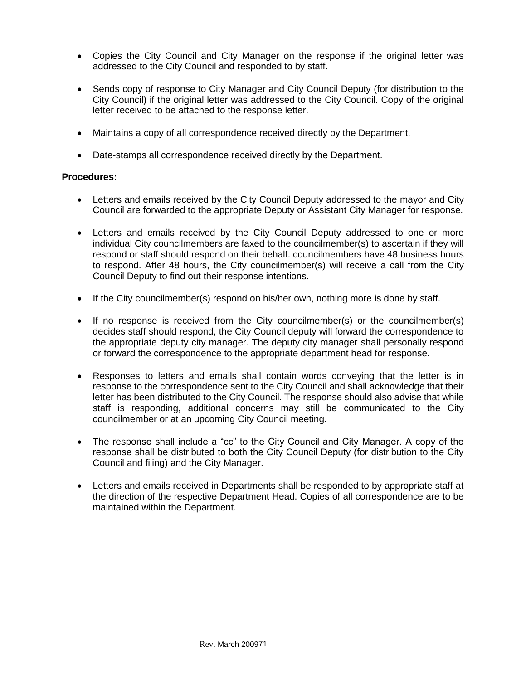- Copies the City Council and City Manager on the response if the original letter was addressed to the City Council and responded to by staff.
- Sends copy of response to City Manager and City Council Deputy (for distribution to the City Council) if the original letter was addressed to the City Council. Copy of the original letter received to be attached to the response letter.
- Maintains a copy of all correspondence received directly by the Department.
- Date-stamps all correspondence received directly by the Department.

# **Procedures:**

- Letters and emails received by the City Council Deputy addressed to the mayor and City Council are forwarded to the appropriate Deputy or Assistant City Manager for response.
- Letters and emails received by the City Council Deputy addressed to one or more individual City councilmembers are faxed to the councilmember(s) to ascertain if they will respond or staff should respond on their behalf. councilmembers have 48 business hours to respond. After 48 hours, the City councilmember(s) will receive a call from the City Council Deputy to find out their response intentions.
- If the City councilmember(s) respond on his/her own, nothing more is done by staff.
- If no response is received from the City councilmember(s) or the councilmember(s) decides staff should respond, the City Council deputy will forward the correspondence to the appropriate deputy city manager. The deputy city manager shall personally respond or forward the correspondence to the appropriate department head for response.
- Responses to letters and emails shall contain words conveying that the letter is in response to the correspondence sent to the City Council and shall acknowledge that their letter has been distributed to the City Council. The response should also advise that while staff is responding, additional concerns may still be communicated to the City councilmember or at an upcoming City Council meeting.
- The response shall include a "cc" to the City Council and City Manager. A copy of the response shall be distributed to both the City Council Deputy (for distribution to the City Council and filing) and the City Manager.
- Letters and emails received in Departments shall be responded to by appropriate staff at the direction of the respective Department Head. Copies of all correspondence are to be maintained within the Department.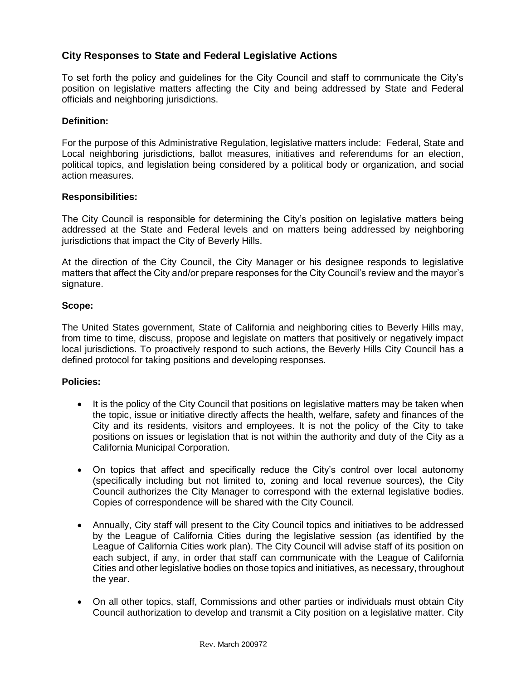# **City Responses to State and Federal Legislative Actions**

To set forth the policy and guidelines for the City Council and staff to communicate the City's position on legislative matters affecting the City and being addressed by State and Federal officials and neighboring jurisdictions.

### **Definition:**

For the purpose of this Administrative Regulation, legislative matters include: Federal, State and Local neighboring jurisdictions, ballot measures, initiatives and referendums for an election, political topics, and legislation being considered by a political body or organization, and social action measures.

### **Responsibilities:**

The City Council is responsible for determining the City's position on legislative matters being addressed at the State and Federal levels and on matters being addressed by neighboring jurisdictions that impact the City of Beverly Hills.

At the direction of the City Council, the City Manager or his designee responds to legislative matters that affect the City and/or prepare responses for the City Council's review and the mayor's signature.

# **Scope:**

The United States government, State of California and neighboring cities to Beverly Hills may, from time to time, discuss, propose and legislate on matters that positively or negatively impact local jurisdictions. To proactively respond to such actions, the Beverly Hills City Council has a defined protocol for taking positions and developing responses.

# **Policies:**

- It is the policy of the City Council that positions on legislative matters may be taken when the topic, issue or initiative directly affects the health, welfare, safety and finances of the City and its residents, visitors and employees. It is not the policy of the City to take positions on issues or legislation that is not within the authority and duty of the City as a California Municipal Corporation.
- On topics that affect and specifically reduce the City's control over local autonomy (specifically including but not limited to, zoning and local revenue sources), the City Council authorizes the City Manager to correspond with the external legislative bodies. Copies of correspondence will be shared with the City Council.
- Annually, City staff will present to the City Council topics and initiatives to be addressed by the League of California Cities during the legislative session (as identified by the League of California Cities work plan). The City Council will advise staff of its position on each subject, if any, in order that staff can communicate with the League of California Cities and other legislative bodies on those topics and initiatives, as necessary, throughout the year.
- On all other topics, staff, Commissions and other parties or individuals must obtain City Council authorization to develop and transmit a City position on a legislative matter. City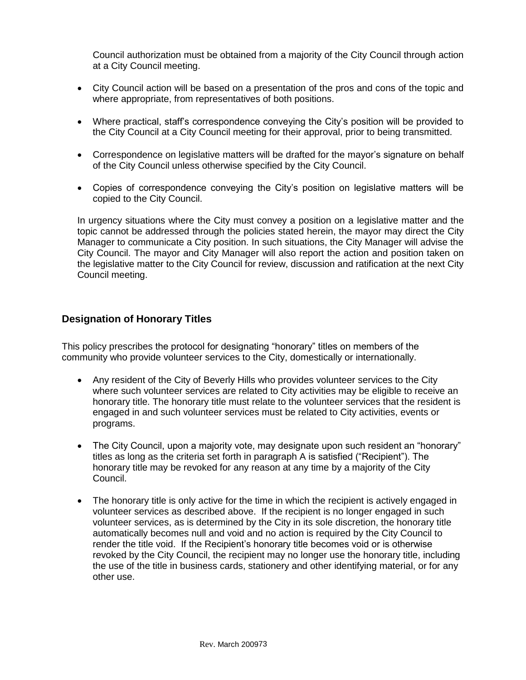Council authorization must be obtained from a majority of the City Council through action at a City Council meeting.

- City Council action will be based on a presentation of the pros and cons of the topic and where appropriate, from representatives of both positions.
- Where practical, staff's correspondence conveying the City's position will be provided to the City Council at a City Council meeting for their approval, prior to being transmitted.
- Correspondence on legislative matters will be drafted for the mayor's signature on behalf of the City Council unless otherwise specified by the City Council.
- Copies of correspondence conveying the City's position on legislative matters will be copied to the City Council.

In urgency situations where the City must convey a position on a legislative matter and the topic cannot be addressed through the policies stated herein, the mayor may direct the City Manager to communicate a City position. In such situations, the City Manager will advise the City Council. The mayor and City Manager will also report the action and position taken on the legislative matter to the City Council for review, discussion and ratification at the next City Council meeting.

## **Designation of Honorary Titles**

This policy prescribes the protocol for designating "honorary" titles on members of the community who provide volunteer services to the City, domestically or internationally.

- Any resident of the City of Beverly Hills who provides volunteer services to the City where such volunteer services are related to City activities may be eligible to receive an honorary title. The honorary title must relate to the volunteer services that the resident is engaged in and such volunteer services must be related to City activities, events or programs.
- The City Council, upon a majority vote, may designate upon such resident an "honorary" titles as long as the criteria set forth in paragraph A is satisfied ("Recipient"). The honorary title may be revoked for any reason at any time by a majority of the City Council.
- The honorary title is only active for the time in which the recipient is actively engaged in volunteer services as described above. If the recipient is no longer engaged in such volunteer services, as is determined by the City in its sole discretion, the honorary title automatically becomes null and void and no action is required by the City Council to render the title void. If the Recipient's honorary title becomes void or is otherwise revoked by the City Council, the recipient may no longer use the honorary title, including the use of the title in business cards, stationery and other identifying material, or for any other use.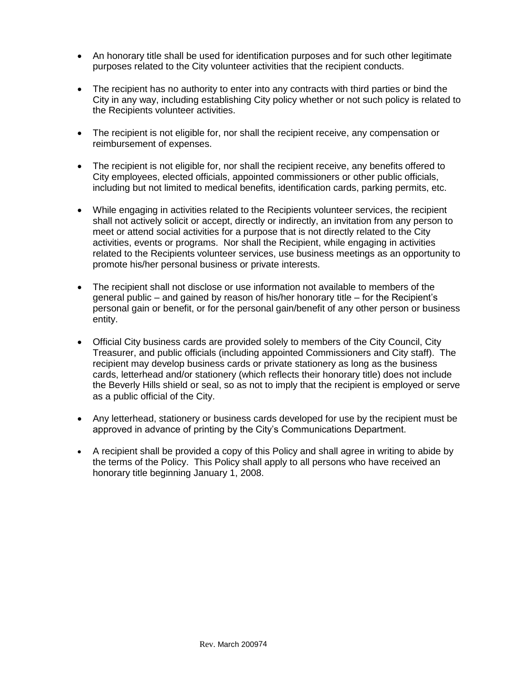- An honorary title shall be used for identification purposes and for such other legitimate purposes related to the City volunteer activities that the recipient conducts.
- The recipient has no authority to enter into any contracts with third parties or bind the City in any way, including establishing City policy whether or not such policy is related to the Recipients volunteer activities.
- The recipient is not eligible for, nor shall the recipient receive, any compensation or reimbursement of expenses.
- The recipient is not eligible for, nor shall the recipient receive, any benefits offered to City employees, elected officials, appointed commissioners or other public officials, including but not limited to medical benefits, identification cards, parking permits, etc.
- While engaging in activities related to the Recipients volunteer services, the recipient shall not actively solicit or accept, directly or indirectly, an invitation from any person to meet or attend social activities for a purpose that is not directly related to the City activities, events or programs. Nor shall the Recipient, while engaging in activities related to the Recipients volunteer services, use business meetings as an opportunity to promote his/her personal business or private interests.
- The recipient shall not disclose or use information not available to members of the general public – and gained by reason of his/her honorary title – for the Recipient's personal gain or benefit, or for the personal gain/benefit of any other person or business entity.
- Official City business cards are provided solely to members of the City Council, City Treasurer, and public officials (including appointed Commissioners and City staff). The recipient may develop business cards or private stationery as long as the business cards, letterhead and/or stationery (which reflects their honorary title) does not include the Beverly Hills shield or seal, so as not to imply that the recipient is employed or serve as a public official of the City.
- Any letterhead, stationery or business cards developed for use by the recipient must be approved in advance of printing by the City's Communications Department.
- A recipient shall be provided a copy of this Policy and shall agree in writing to abide by the terms of the Policy. This Policy shall apply to all persons who have received an honorary title beginning January 1, 2008.